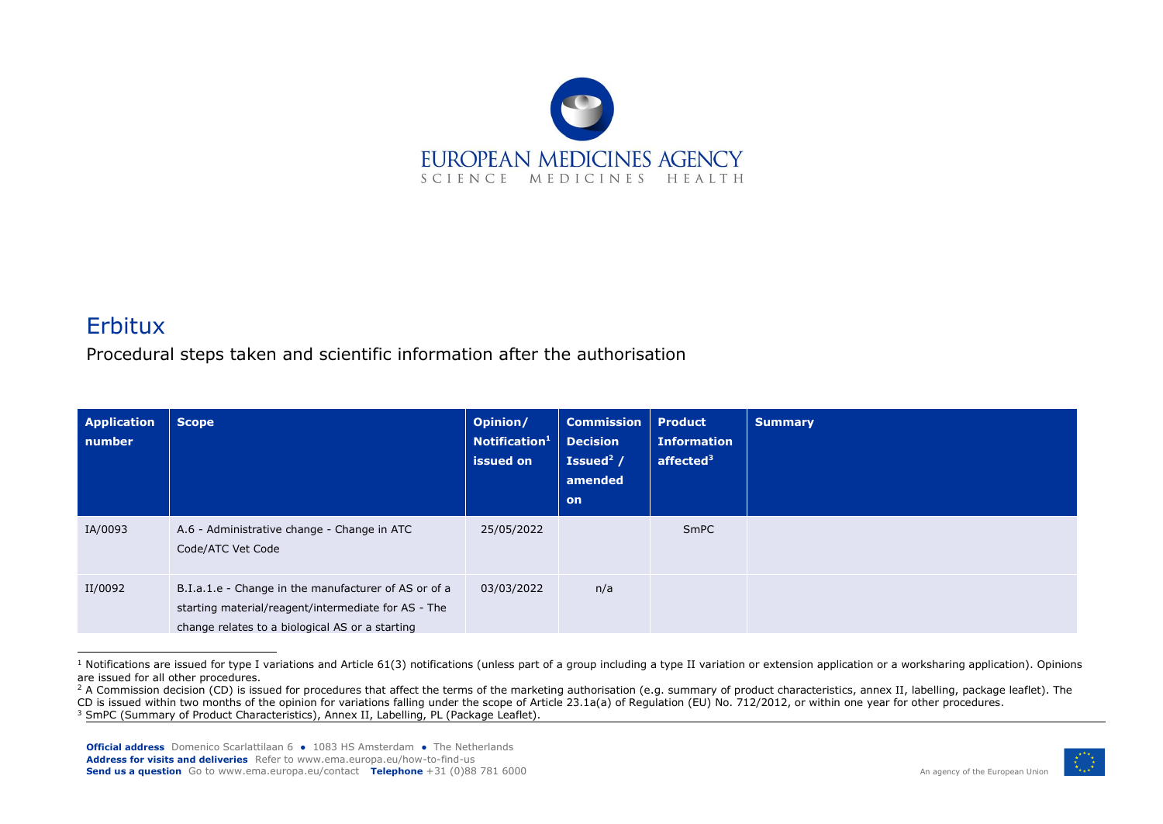

## Erbitux

Procedural steps taken and scientific information after the authorisation

| <b>Application</b><br>number | <b>Scope</b>                                                                                                                                                   | Opinion/<br>Notification <sup>1</sup><br>issued on | <b>Commission</b><br><b>Decision</b><br>Issued <sup>2</sup> /<br>amended<br>on | <b>Product</b><br><b>Information</b><br>affected <sup>3</sup> | <b>Summary</b> |
|------------------------------|----------------------------------------------------------------------------------------------------------------------------------------------------------------|----------------------------------------------------|--------------------------------------------------------------------------------|---------------------------------------------------------------|----------------|
| IA/0093                      | A.6 - Administrative change - Change in ATC<br>Code/ATC Vet Code                                                                                               | 25/05/2022                                         |                                                                                | SmPC                                                          |                |
| II/0092                      | B.I.a.1.e - Change in the manufacturer of AS or of a<br>starting material/reagent/intermediate for AS - The<br>change relates to a biological AS or a starting | 03/03/2022                                         | n/a                                                                            |                                                               |                |

 $1$  Notifications are issued for type I variations and Article 61(3) notifications (unless part of a group including a type II variation or extension application or a worksharing application). Opinions are issued for all other procedures.



<sup>&</sup>lt;sup>2</sup> A Commission decision (CD) is issued for procedures that affect the terms of the marketing authorisation (e.g. summary of product characteristics, annex II, labelling, package leaflet). The

CD is issued within two months of the opinion for variations falling under the scope of Article 23.1a(a) of Regulation (EU) No. 712/2012, or within one year for other procedures.

<sup>&</sup>lt;sup>3</sup> SmPC (Summary of Product Characteristics), Annex II, Labelling, PL (Package Leaflet).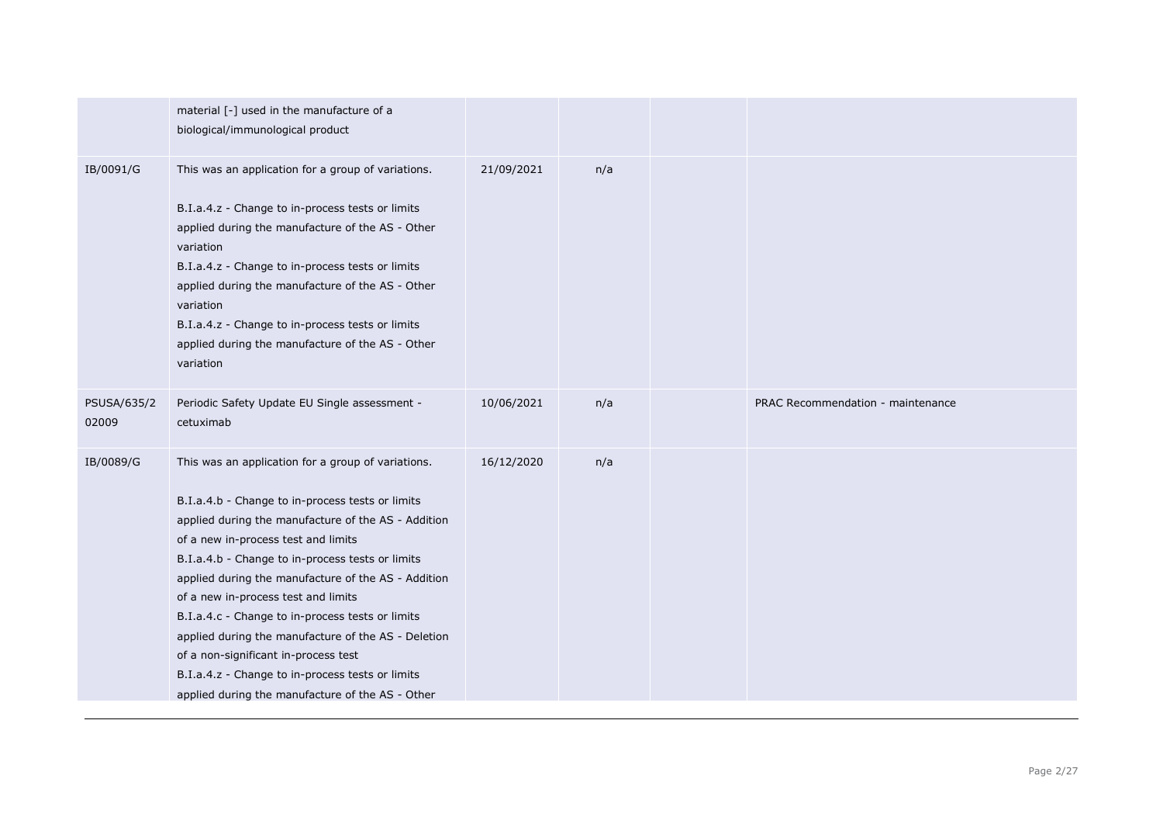|                      | material [-] used in the manufacture of a<br>biological/immunological product                                                                                                                                                                                                                                                                                                                                                                                                                                                                                                                                     |            |     |                                   |
|----------------------|-------------------------------------------------------------------------------------------------------------------------------------------------------------------------------------------------------------------------------------------------------------------------------------------------------------------------------------------------------------------------------------------------------------------------------------------------------------------------------------------------------------------------------------------------------------------------------------------------------------------|------------|-----|-----------------------------------|
| IB/0091/G            | This was an application for a group of variations.<br>B.I.a.4.z - Change to in-process tests or limits<br>applied during the manufacture of the AS - Other<br>variation<br>B.I.a.4.z - Change to in-process tests or limits<br>applied during the manufacture of the AS - Other<br>variation<br>B.I.a.4.z - Change to in-process tests or limits<br>applied during the manufacture of the AS - Other<br>variation                                                                                                                                                                                                 | 21/09/2021 | n/a |                                   |
| PSUSA/635/2<br>02009 | Periodic Safety Update EU Single assessment -<br>cetuximab                                                                                                                                                                                                                                                                                                                                                                                                                                                                                                                                                        | 10/06/2021 | n/a | PRAC Recommendation - maintenance |
| IB/0089/G            | This was an application for a group of variations.<br>B.I.a.4.b - Change to in-process tests or limits<br>applied during the manufacture of the AS - Addition<br>of a new in-process test and limits<br>B.I.a.4.b - Change to in-process tests or limits<br>applied during the manufacture of the AS - Addition<br>of a new in-process test and limits<br>B.I.a.4.c - Change to in-process tests or limits<br>applied during the manufacture of the AS - Deletion<br>of a non-significant in-process test<br>B.I.a.4.z - Change to in-process tests or limits<br>applied during the manufacture of the AS - Other | 16/12/2020 | n/a |                                   |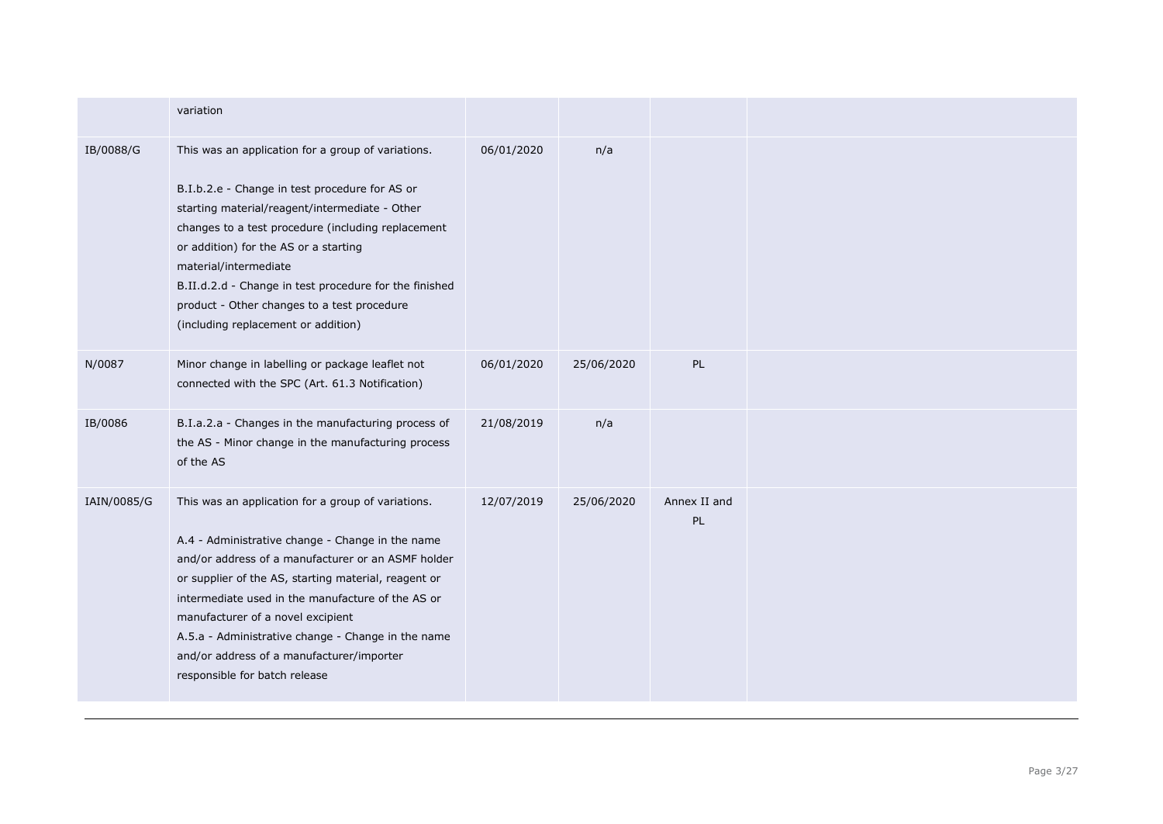|             | variation                                                                                                                                                                                                                                                                                                                                                                                                                                          |            |            |                    |
|-------------|----------------------------------------------------------------------------------------------------------------------------------------------------------------------------------------------------------------------------------------------------------------------------------------------------------------------------------------------------------------------------------------------------------------------------------------------------|------------|------------|--------------------|
| IB/0088/G   | This was an application for a group of variations.<br>B.I.b.2.e - Change in test procedure for AS or<br>starting material/reagent/intermediate - Other<br>changes to a test procedure (including replacement<br>or addition) for the AS or a starting<br>material/intermediate<br>B.II.d.2.d - Change in test procedure for the finished<br>product - Other changes to a test procedure<br>(including replacement or addition)                     | 06/01/2020 | n/a        |                    |
| N/0087      | Minor change in labelling or package leaflet not<br>connected with the SPC (Art. 61.3 Notification)                                                                                                                                                                                                                                                                                                                                                | 06/01/2020 | 25/06/2020 | PL                 |
| IB/0086     | B.I.a.2.a - Changes in the manufacturing process of<br>the AS - Minor change in the manufacturing process<br>of the AS                                                                                                                                                                                                                                                                                                                             | 21/08/2019 | n/a        |                    |
| IAIN/0085/G | This was an application for a group of variations.<br>A.4 - Administrative change - Change in the name<br>and/or address of a manufacturer or an ASMF holder<br>or supplier of the AS, starting material, reagent or<br>intermediate used in the manufacture of the AS or<br>manufacturer of a novel excipient<br>A.5.a - Administrative change - Change in the name<br>and/or address of a manufacturer/importer<br>responsible for batch release | 12/07/2019 | 25/06/2020 | Annex II and<br>PL |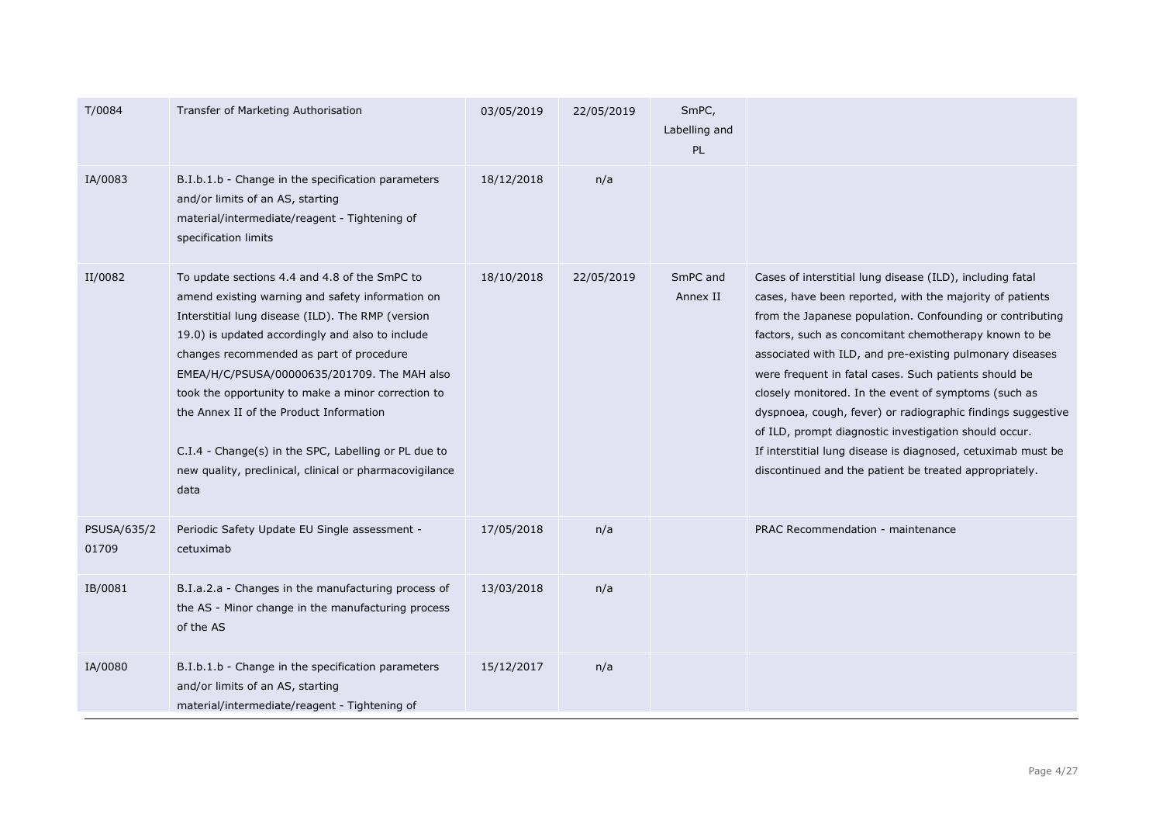| T/0084               | Transfer of Marketing Authorisation                                                                                                                                                                                                                                                                                                                                                                                                                                                                                                | 03/05/2019 | 22/05/2019 | SmPC,<br>Labelling and<br>PL |                                                                                                                                                                                                                                                                                                                                                                                                                                                                                                                                                                                                                                                                            |
|----------------------|------------------------------------------------------------------------------------------------------------------------------------------------------------------------------------------------------------------------------------------------------------------------------------------------------------------------------------------------------------------------------------------------------------------------------------------------------------------------------------------------------------------------------------|------------|------------|------------------------------|----------------------------------------------------------------------------------------------------------------------------------------------------------------------------------------------------------------------------------------------------------------------------------------------------------------------------------------------------------------------------------------------------------------------------------------------------------------------------------------------------------------------------------------------------------------------------------------------------------------------------------------------------------------------------|
| IA/0083              | B.I.b.1.b - Change in the specification parameters<br>and/or limits of an AS, starting<br>material/intermediate/reagent - Tightening of<br>specification limits                                                                                                                                                                                                                                                                                                                                                                    | 18/12/2018 | n/a        |                              |                                                                                                                                                                                                                                                                                                                                                                                                                                                                                                                                                                                                                                                                            |
| II/0082              | To update sections 4.4 and 4.8 of the SmPC to<br>amend existing warning and safety information on<br>Interstitial lung disease (ILD). The RMP (version<br>19.0) is updated accordingly and also to include<br>changes recommended as part of procedure<br>EMEA/H/C/PSUSA/00000635/201709. The MAH also<br>took the opportunity to make a minor correction to<br>the Annex II of the Product Information<br>C.I.4 - Change(s) in the SPC, Labelling or PL due to<br>new quality, preclinical, clinical or pharmacovigilance<br>data | 18/10/2018 | 22/05/2019 | SmPC and<br>Annex II         | Cases of interstitial lung disease (ILD), including fatal<br>cases, have been reported, with the majority of patients<br>from the Japanese population. Confounding or contributing<br>factors, such as concomitant chemotherapy known to be<br>associated with ILD, and pre-existing pulmonary diseases<br>were frequent in fatal cases. Such patients should be<br>closely monitored. In the event of symptoms (such as<br>dyspnoea, cough, fever) or radiographic findings suggestive<br>of ILD, prompt diagnostic investigation should occur.<br>If interstitial lung disease is diagnosed, cetuximab must be<br>discontinued and the patient be treated appropriately. |
| PSUSA/635/2<br>01709 | Periodic Safety Update EU Single assessment -<br>cetuximab                                                                                                                                                                                                                                                                                                                                                                                                                                                                         | 17/05/2018 | n/a        |                              | PRAC Recommendation - maintenance                                                                                                                                                                                                                                                                                                                                                                                                                                                                                                                                                                                                                                          |
| IB/0081              | B.I.a.2.a - Changes in the manufacturing process of<br>the AS - Minor change in the manufacturing process<br>of the AS                                                                                                                                                                                                                                                                                                                                                                                                             | 13/03/2018 | n/a        |                              |                                                                                                                                                                                                                                                                                                                                                                                                                                                                                                                                                                                                                                                                            |
| IA/0080              | B.I.b.1.b - Change in the specification parameters<br>and/or limits of an AS, starting<br>material/intermediate/reagent - Tightening of                                                                                                                                                                                                                                                                                                                                                                                            | 15/12/2017 | n/a        |                              |                                                                                                                                                                                                                                                                                                                                                                                                                                                                                                                                                                                                                                                                            |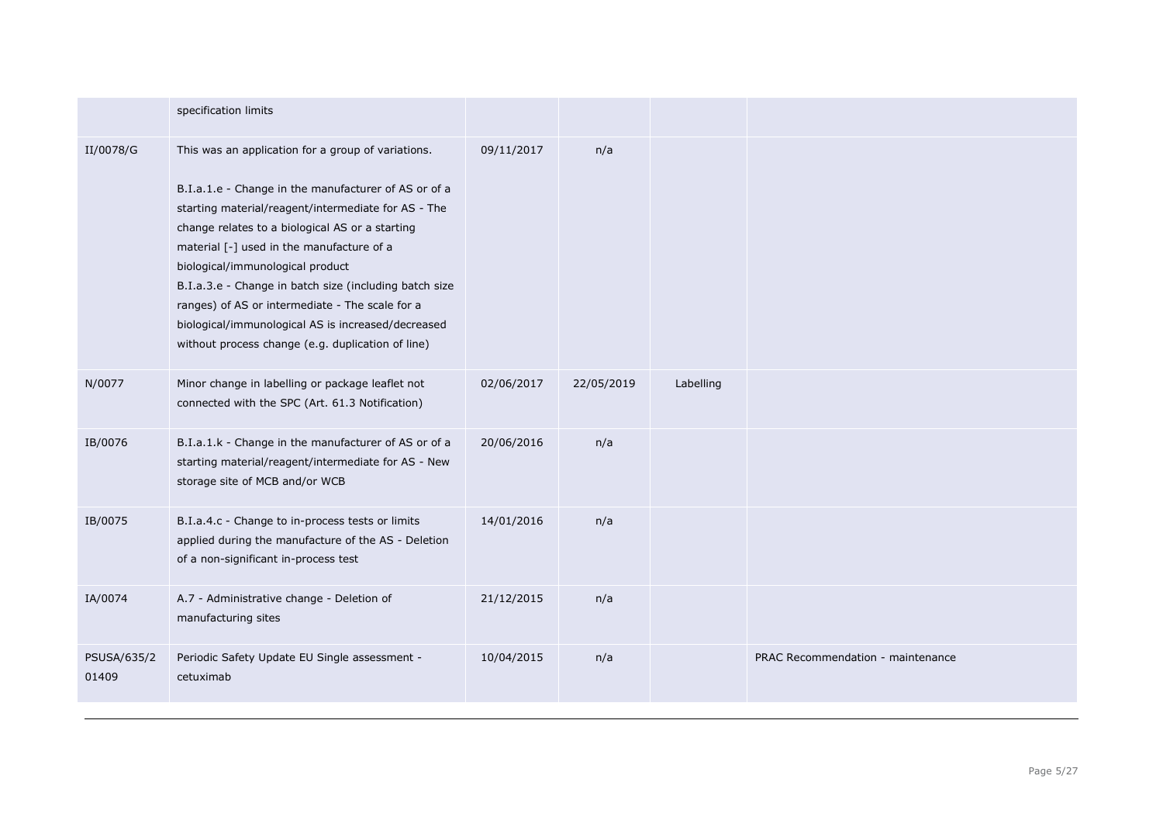|                             | specification limits                                                                                                                                                                                                                                                                                                                                                                                                                                                                                                          |            |            |           |                                   |
|-----------------------------|-------------------------------------------------------------------------------------------------------------------------------------------------------------------------------------------------------------------------------------------------------------------------------------------------------------------------------------------------------------------------------------------------------------------------------------------------------------------------------------------------------------------------------|------------|------------|-----------|-----------------------------------|
| II/0078/G                   | This was an application for a group of variations.<br>B.I.a.1.e - Change in the manufacturer of AS or of a<br>starting material/reagent/intermediate for AS - The<br>change relates to a biological AS or a starting<br>material [-] used in the manufacture of a<br>biological/immunological product<br>B.I.a.3.e - Change in batch size (including batch size<br>ranges) of AS or intermediate - The scale for a<br>biological/immunological AS is increased/decreased<br>without process change (e.g. duplication of line) | 09/11/2017 | n/a        |           |                                   |
| N/0077                      | Minor change in labelling or package leaflet not<br>connected with the SPC (Art. 61.3 Notification)                                                                                                                                                                                                                                                                                                                                                                                                                           | 02/06/2017 | 22/05/2019 | Labelling |                                   |
| IB/0076                     | B.I.a.1.k - Change in the manufacturer of AS or of a<br>starting material/reagent/intermediate for AS - New<br>storage site of MCB and/or WCB                                                                                                                                                                                                                                                                                                                                                                                 | 20/06/2016 | n/a        |           |                                   |
| IB/0075                     | B.I.a.4.c - Change to in-process tests or limits<br>applied during the manufacture of the AS - Deletion<br>of a non-significant in-process test                                                                                                                                                                                                                                                                                                                                                                               | 14/01/2016 | n/a        |           |                                   |
| IA/0074                     | A.7 - Administrative change - Deletion of<br>manufacturing sites                                                                                                                                                                                                                                                                                                                                                                                                                                                              | 21/12/2015 | n/a        |           |                                   |
| <b>PSUSA/635/2</b><br>01409 | Periodic Safety Update EU Single assessment -<br>cetuximab                                                                                                                                                                                                                                                                                                                                                                                                                                                                    | 10/04/2015 | n/a        |           | PRAC Recommendation - maintenance |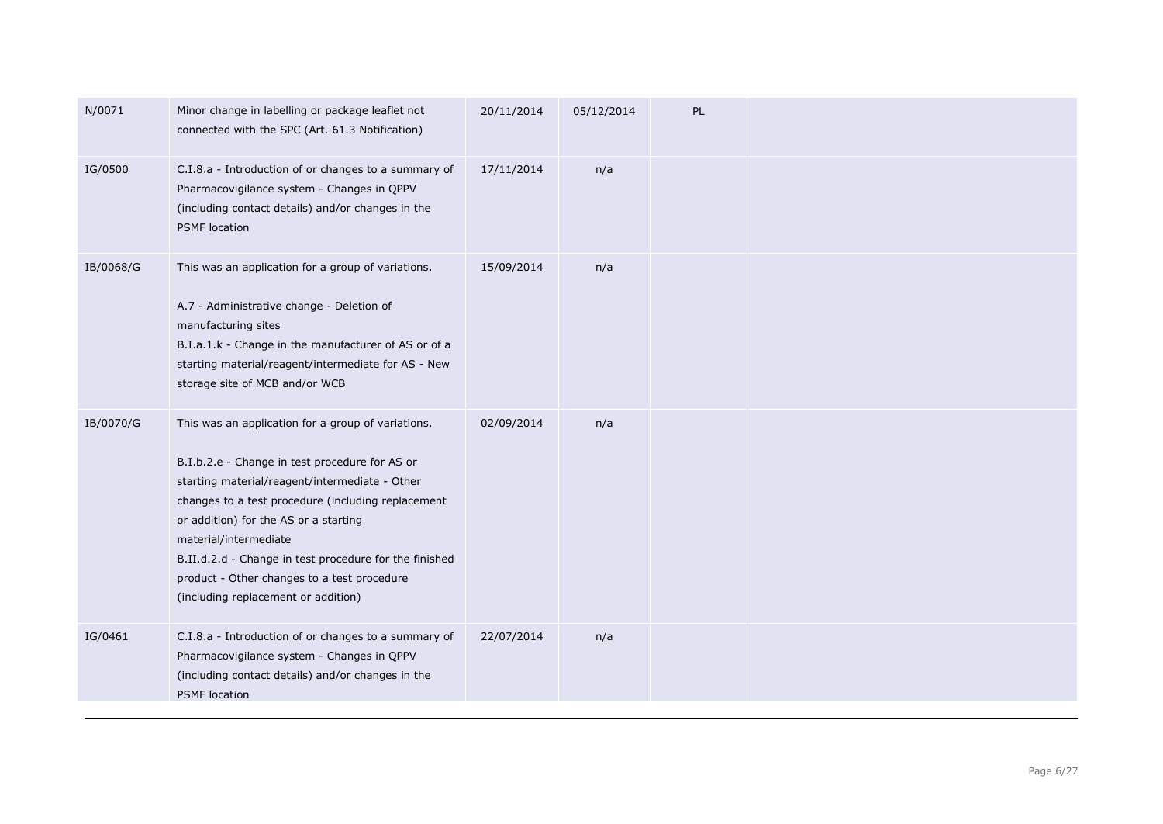| N/0071    | Minor change in labelling or package leaflet not<br>connected with the SPC (Art. 61.3 Notification)                                                                                                                                                                                                                                                                                                                            | 20/11/2014 | 05/12/2014 | PL |  |
|-----------|--------------------------------------------------------------------------------------------------------------------------------------------------------------------------------------------------------------------------------------------------------------------------------------------------------------------------------------------------------------------------------------------------------------------------------|------------|------------|----|--|
| IG/0500   | C.I.8.a - Introduction of or changes to a summary of<br>Pharmacovigilance system - Changes in QPPV<br>(including contact details) and/or changes in the<br><b>PSMF</b> location                                                                                                                                                                                                                                                | 17/11/2014 | n/a        |    |  |
| IB/0068/G | This was an application for a group of variations.<br>A.7 - Administrative change - Deletion of<br>manufacturing sites<br>B.I.a.1.k - Change in the manufacturer of AS or of a<br>starting material/reagent/intermediate for AS - New<br>storage site of MCB and/or WCB                                                                                                                                                        | 15/09/2014 | n/a        |    |  |
| IB/0070/G | This was an application for a group of variations.<br>B.I.b.2.e - Change in test procedure for AS or<br>starting material/reagent/intermediate - Other<br>changes to a test procedure (including replacement<br>or addition) for the AS or a starting<br>material/intermediate<br>B.II.d.2.d - Change in test procedure for the finished<br>product - Other changes to a test procedure<br>(including replacement or addition) | 02/09/2014 | n/a        |    |  |
| IG/0461   | C.I.8.a - Introduction of or changes to a summary of<br>Pharmacovigilance system - Changes in QPPV<br>(including contact details) and/or changes in the<br><b>PSMF</b> location                                                                                                                                                                                                                                                | 22/07/2014 | n/a        |    |  |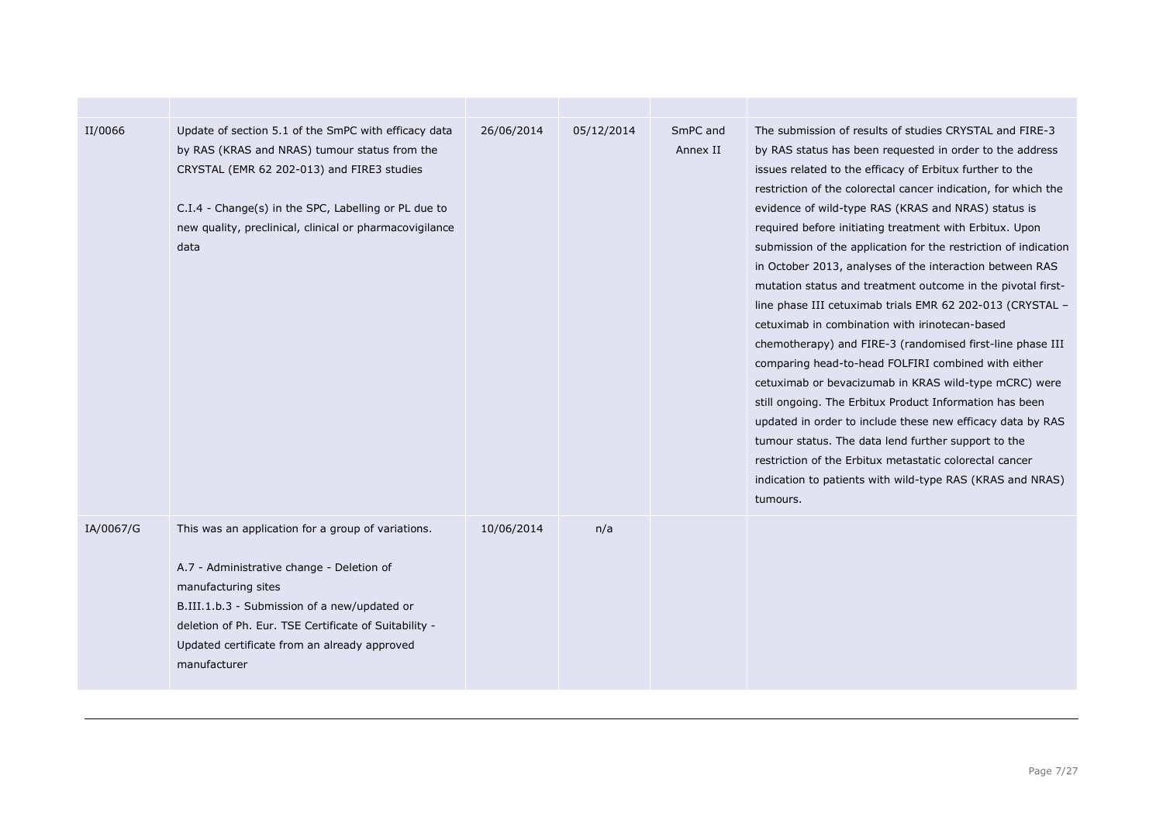| II/0066   | Update of section 5.1 of the SmPC with efficacy data<br>by RAS (KRAS and NRAS) tumour status from the<br>CRYSTAL (EMR 62 202-013) and FIRE3 studies<br>C.I.4 - Change(s) in the SPC, Labelling or PL due to<br>new quality, preclinical, clinical or pharmacovigilance<br>data                  | 26/06/2014 | 05/12/2014 | SmPC and<br>Annex II | The submission of results of studies CRYSTAL and FIRE-3<br>by RAS status has been requested in order to the address<br>issues related to the efficacy of Erbitux further to the<br>restriction of the colorectal cancer indication, for which the<br>evidence of wild-type RAS (KRAS and NRAS) status is<br>required before initiating treatment with Erbitux. Upon<br>submission of the application for the restriction of indication<br>in October 2013, analyses of the interaction between RAS<br>mutation status and treatment outcome in the pivotal first-<br>line phase III cetuximab trials EMR 62 202-013 (CRYSTAL -<br>cetuximab in combination with irinotecan-based<br>chemotherapy) and FIRE-3 (randomised first-line phase III<br>comparing head-to-head FOLFIRI combined with either<br>cetuximab or bevacizumab in KRAS wild-type mCRC) were<br>still ongoing. The Erbitux Product Information has been<br>updated in order to include these new efficacy data by RAS<br>tumour status. The data lend further support to the<br>restriction of the Erbitux metastatic colorectal cancer<br>indication to patients with wild-type RAS (KRAS and NRAS)<br>tumours. |
|-----------|-------------------------------------------------------------------------------------------------------------------------------------------------------------------------------------------------------------------------------------------------------------------------------------------------|------------|------------|----------------------|-----------------------------------------------------------------------------------------------------------------------------------------------------------------------------------------------------------------------------------------------------------------------------------------------------------------------------------------------------------------------------------------------------------------------------------------------------------------------------------------------------------------------------------------------------------------------------------------------------------------------------------------------------------------------------------------------------------------------------------------------------------------------------------------------------------------------------------------------------------------------------------------------------------------------------------------------------------------------------------------------------------------------------------------------------------------------------------------------------------------------------------------------------------------------------------|
| IA/0067/G | This was an application for a group of variations.<br>A.7 - Administrative change - Deletion of<br>manufacturing sites<br>B.III.1.b.3 - Submission of a new/updated or<br>deletion of Ph. Eur. TSE Certificate of Suitability -<br>Updated certificate from an already approved<br>manufacturer | 10/06/2014 | n/a        |                      |                                                                                                                                                                                                                                                                                                                                                                                                                                                                                                                                                                                                                                                                                                                                                                                                                                                                                                                                                                                                                                                                                                                                                                                   |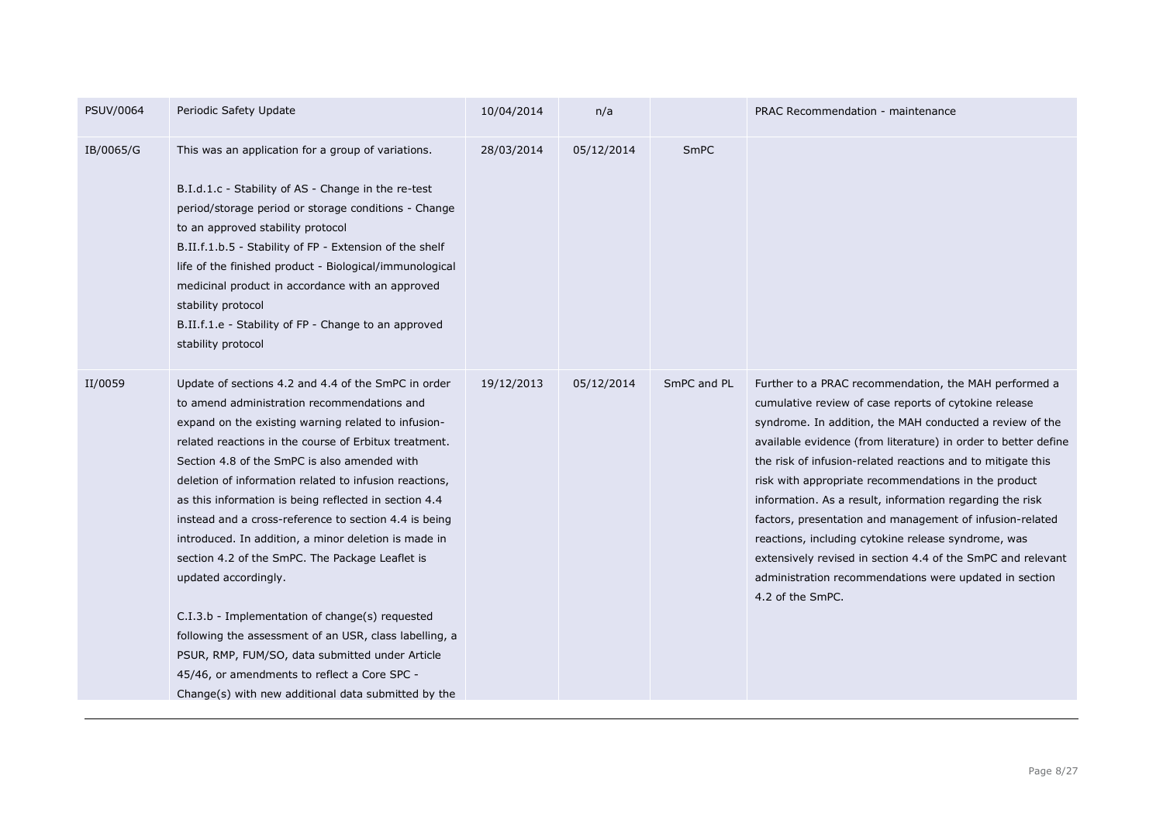| PSUV/0064 | Periodic Safety Update                                                                                                                                                                                                                                                                                                                                                                                                                                                                                                                                                                                                                                                                                                                                                                                                                                   | 10/04/2014 | n/a        |             | PRAC Recommendation - maintenance                                                                                                                                                                                                                                                                                                                                                                                                                                                                                                                                                                                                                                                               |
|-----------|----------------------------------------------------------------------------------------------------------------------------------------------------------------------------------------------------------------------------------------------------------------------------------------------------------------------------------------------------------------------------------------------------------------------------------------------------------------------------------------------------------------------------------------------------------------------------------------------------------------------------------------------------------------------------------------------------------------------------------------------------------------------------------------------------------------------------------------------------------|------------|------------|-------------|-------------------------------------------------------------------------------------------------------------------------------------------------------------------------------------------------------------------------------------------------------------------------------------------------------------------------------------------------------------------------------------------------------------------------------------------------------------------------------------------------------------------------------------------------------------------------------------------------------------------------------------------------------------------------------------------------|
| IB/0065/G | This was an application for a group of variations.<br>B.I.d.1.c - Stability of AS - Change in the re-test<br>period/storage period or storage conditions - Change<br>to an approved stability protocol<br>B.II.f.1.b.5 - Stability of FP - Extension of the shelf<br>life of the finished product - Biological/immunological<br>medicinal product in accordance with an approved<br>stability protocol<br>B.II.f.1.e - Stability of FP - Change to an approved<br>stability protocol                                                                                                                                                                                                                                                                                                                                                                     | 28/03/2014 | 05/12/2014 | SmPC        |                                                                                                                                                                                                                                                                                                                                                                                                                                                                                                                                                                                                                                                                                                 |
| II/0059   | Update of sections 4.2 and 4.4 of the SmPC in order<br>to amend administration recommendations and<br>expand on the existing warning related to infusion-<br>related reactions in the course of Erbitux treatment.<br>Section 4.8 of the SmPC is also amended with<br>deletion of information related to infusion reactions,<br>as this information is being reflected in section 4.4<br>instead and a cross-reference to section 4.4 is being<br>introduced. In addition, a minor deletion is made in<br>section 4.2 of the SmPC. The Package Leaflet is<br>updated accordingly.<br>C.I.3.b - Implementation of change(s) requested<br>following the assessment of an USR, class labelling, a<br>PSUR, RMP, FUM/SO, data submitted under Article<br>45/46, or amendments to reflect a Core SPC -<br>Change(s) with new additional data submitted by the | 19/12/2013 | 05/12/2014 | SmPC and PL | Further to a PRAC recommendation, the MAH performed a<br>cumulative review of case reports of cytokine release<br>syndrome. In addition, the MAH conducted a review of the<br>available evidence (from literature) in order to better define<br>the risk of infusion-related reactions and to mitigate this<br>risk with appropriate recommendations in the product<br>information. As a result, information regarding the risk<br>factors, presentation and management of infusion-related<br>reactions, including cytokine release syndrome, was<br>extensively revised in section 4.4 of the SmPC and relevant<br>administration recommendations were updated in section<br>4.2 of the SmPC. |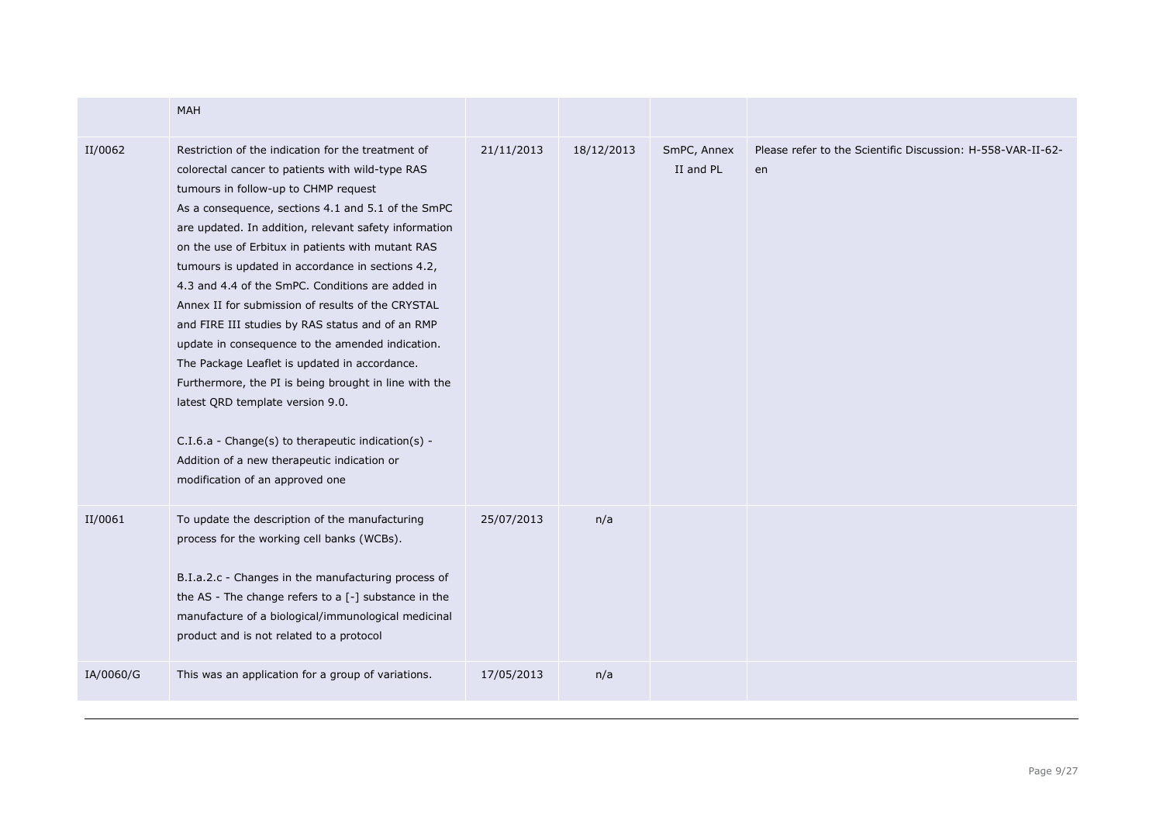|           | <b>MAH</b>                                                                                                                                                                                                                                                                                                                                                                                                                                                                                                                                                                                                                                                                                                                                                                                                                                                                     |            |            |                          |                                                                   |
|-----------|--------------------------------------------------------------------------------------------------------------------------------------------------------------------------------------------------------------------------------------------------------------------------------------------------------------------------------------------------------------------------------------------------------------------------------------------------------------------------------------------------------------------------------------------------------------------------------------------------------------------------------------------------------------------------------------------------------------------------------------------------------------------------------------------------------------------------------------------------------------------------------|------------|------------|--------------------------|-------------------------------------------------------------------|
| II/0062   | Restriction of the indication for the treatment of<br>colorectal cancer to patients with wild-type RAS<br>tumours in follow-up to CHMP request<br>As a consequence, sections 4.1 and 5.1 of the SmPC<br>are updated. In addition, relevant safety information<br>on the use of Erbitux in patients with mutant RAS<br>tumours is updated in accordance in sections 4.2,<br>4.3 and 4.4 of the SmPC. Conditions are added in<br>Annex II for submission of results of the CRYSTAL<br>and FIRE III studies by RAS status and of an RMP<br>update in consequence to the amended indication.<br>The Package Leaflet is updated in accordance.<br>Furthermore, the PI is being brought in line with the<br>latest QRD template version 9.0.<br>C.I.6.a - Change(s) to therapeutic indication(s) -<br>Addition of a new therapeutic indication or<br>modification of an approved one | 21/11/2013 | 18/12/2013 | SmPC, Annex<br>II and PL | Please refer to the Scientific Discussion: H-558-VAR-II-62-<br>en |
| II/0061   | To update the description of the manufacturing<br>process for the working cell banks (WCBs).<br>B.I.a.2.c - Changes in the manufacturing process of<br>the AS - The change refers to a [-] substance in the<br>manufacture of a biological/immunological medicinal<br>product and is not related to a protocol                                                                                                                                                                                                                                                                                                                                                                                                                                                                                                                                                                 | 25/07/2013 | n/a        |                          |                                                                   |
| IA/0060/G | This was an application for a group of variations.                                                                                                                                                                                                                                                                                                                                                                                                                                                                                                                                                                                                                                                                                                                                                                                                                             | 17/05/2013 | n/a        |                          |                                                                   |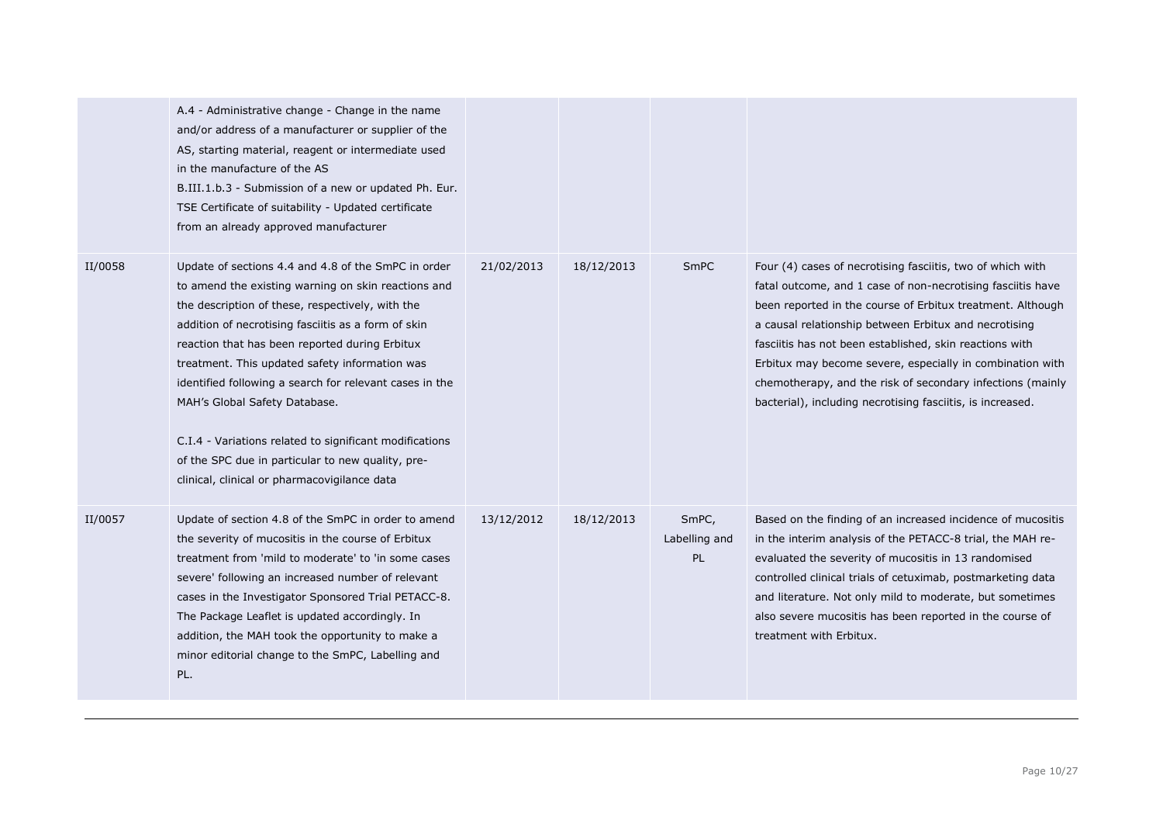|         | A.4 - Administrative change - Change in the name<br>and/or address of a manufacturer or supplier of the<br>AS, starting material, reagent or intermediate used<br>in the manufacture of the AS<br>B.III.1.b.3 - Submission of a new or updated Ph. Eur.<br>TSE Certificate of suitability - Updated certificate<br>from an already approved manufacturer                                                                                                                                                                                                                              |            |            |                              |                                                                                                                                                                                                                                                                                                                                                                                                                                                                                                      |
|---------|---------------------------------------------------------------------------------------------------------------------------------------------------------------------------------------------------------------------------------------------------------------------------------------------------------------------------------------------------------------------------------------------------------------------------------------------------------------------------------------------------------------------------------------------------------------------------------------|------------|------------|------------------------------|------------------------------------------------------------------------------------------------------------------------------------------------------------------------------------------------------------------------------------------------------------------------------------------------------------------------------------------------------------------------------------------------------------------------------------------------------------------------------------------------------|
| II/0058 | Update of sections 4.4 and 4.8 of the SmPC in order<br>to amend the existing warning on skin reactions and<br>the description of these, respectively, with the<br>addition of necrotising fasciitis as a form of skin<br>reaction that has been reported during Erbitux<br>treatment. This updated safety information was<br>identified following a search for relevant cases in the<br>MAH's Global Safety Database.<br>C.I.4 - Variations related to significant modifications<br>of the SPC due in particular to new quality, pre-<br>clinical, clinical or pharmacovigilance data | 21/02/2013 | 18/12/2013 | <b>SmPC</b>                  | Four (4) cases of necrotising fasciitis, two of which with<br>fatal outcome, and 1 case of non-necrotising fasciitis have<br>been reported in the course of Erbitux treatment. Although<br>a causal relationship between Erbitux and necrotising<br>fasciitis has not been established, skin reactions with<br>Erbitux may become severe, especially in combination with<br>chemotherapy, and the risk of secondary infections (mainly<br>bacterial), including necrotising fasciitis, is increased. |
| II/0057 | Update of section 4.8 of the SmPC in order to amend<br>the severity of mucositis in the course of Erbitux<br>treatment from 'mild to moderate' to 'in some cases<br>severe' following an increased number of relevant<br>cases in the Investigator Sponsored Trial PETACC-8.<br>The Package Leaflet is updated accordingly. In<br>addition, the MAH took the opportunity to make a<br>minor editorial change to the SmPC, Labelling and<br>PL.                                                                                                                                        | 13/12/2012 | 18/12/2013 | SmPC,<br>Labelling and<br>PL | Based on the finding of an increased incidence of mucositis<br>in the interim analysis of the PETACC-8 trial, the MAH re-<br>evaluated the severity of mucositis in 13 randomised<br>controlled clinical trials of cetuximab, postmarketing data<br>and literature. Not only mild to moderate, but sometimes<br>also severe mucositis has been reported in the course of<br>treatment with Erbitux.                                                                                                  |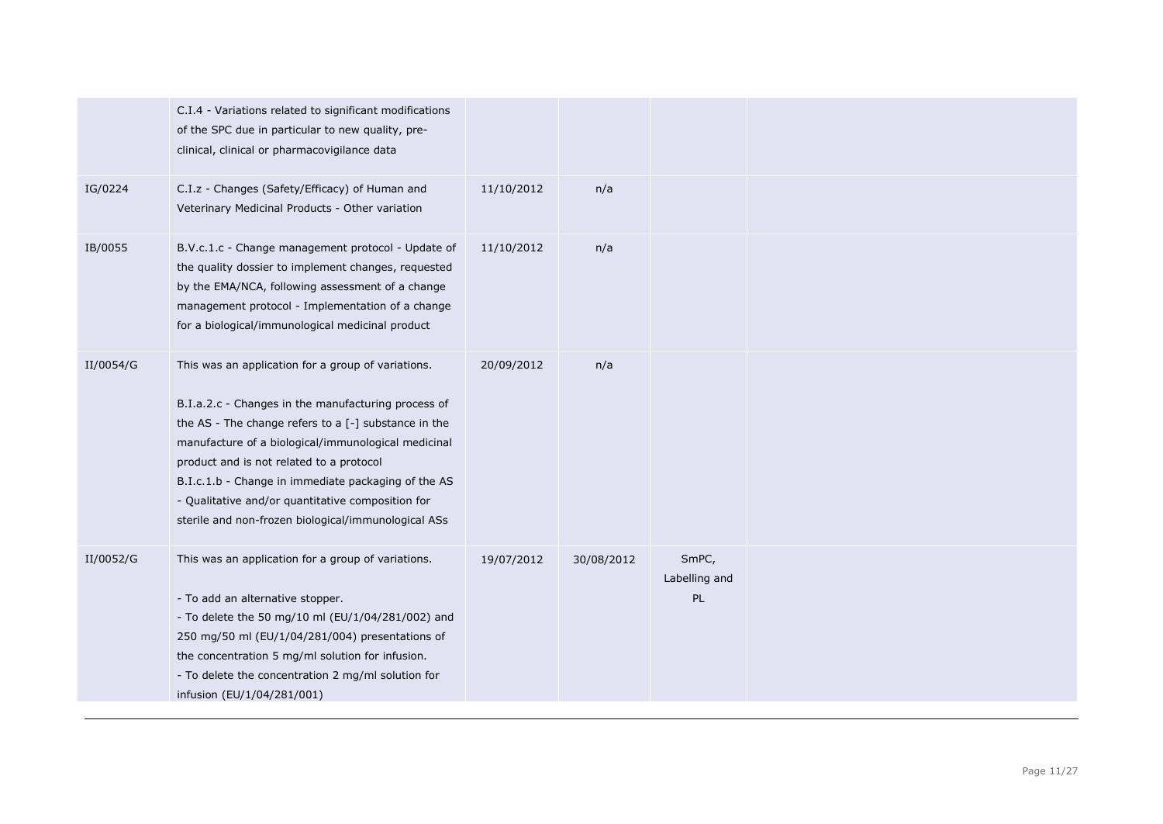|           | C.I.4 - Variations related to significant modifications<br>of the SPC due in particular to new quality, pre-<br>clinical, clinical or pharmacovigilance data                                                                                                                                                                                                                                                                              |            |            |                              |  |
|-----------|-------------------------------------------------------------------------------------------------------------------------------------------------------------------------------------------------------------------------------------------------------------------------------------------------------------------------------------------------------------------------------------------------------------------------------------------|------------|------------|------------------------------|--|
| IG/0224   | C.I.z - Changes (Safety/Efficacy) of Human and<br>Veterinary Medicinal Products - Other variation                                                                                                                                                                                                                                                                                                                                         | 11/10/2012 | n/a        |                              |  |
| IB/0055   | B.V.c.1.c - Change management protocol - Update of<br>the quality dossier to implement changes, requested<br>by the EMA/NCA, following assessment of a change<br>management protocol - Implementation of a change<br>for a biological/immunological medicinal product                                                                                                                                                                     | 11/10/2012 | n/a        |                              |  |
| II/0054/G | This was an application for a group of variations.<br>B.I.a.2.c - Changes in the manufacturing process of<br>the AS - The change refers to a $[-]$ substance in the<br>manufacture of a biological/immunological medicinal<br>product and is not related to a protocol<br>B.I.c.1.b - Change in immediate packaging of the AS<br>- Qualitative and/or quantitative composition for<br>sterile and non-frozen biological/immunological ASs | 20/09/2012 | n/a        |                              |  |
| II/0052/G | This was an application for a group of variations.<br>- To add an alternative stopper.<br>- To delete the 50 mg/10 ml (EU/1/04/281/002) and<br>250 mg/50 ml (EU/1/04/281/004) presentations of<br>the concentration 5 mg/ml solution for infusion.<br>- To delete the concentration 2 mg/ml solution for<br>infusion (EU/1/04/281/001)                                                                                                    | 19/07/2012 | 30/08/2012 | SmPC,<br>Labelling and<br>PL |  |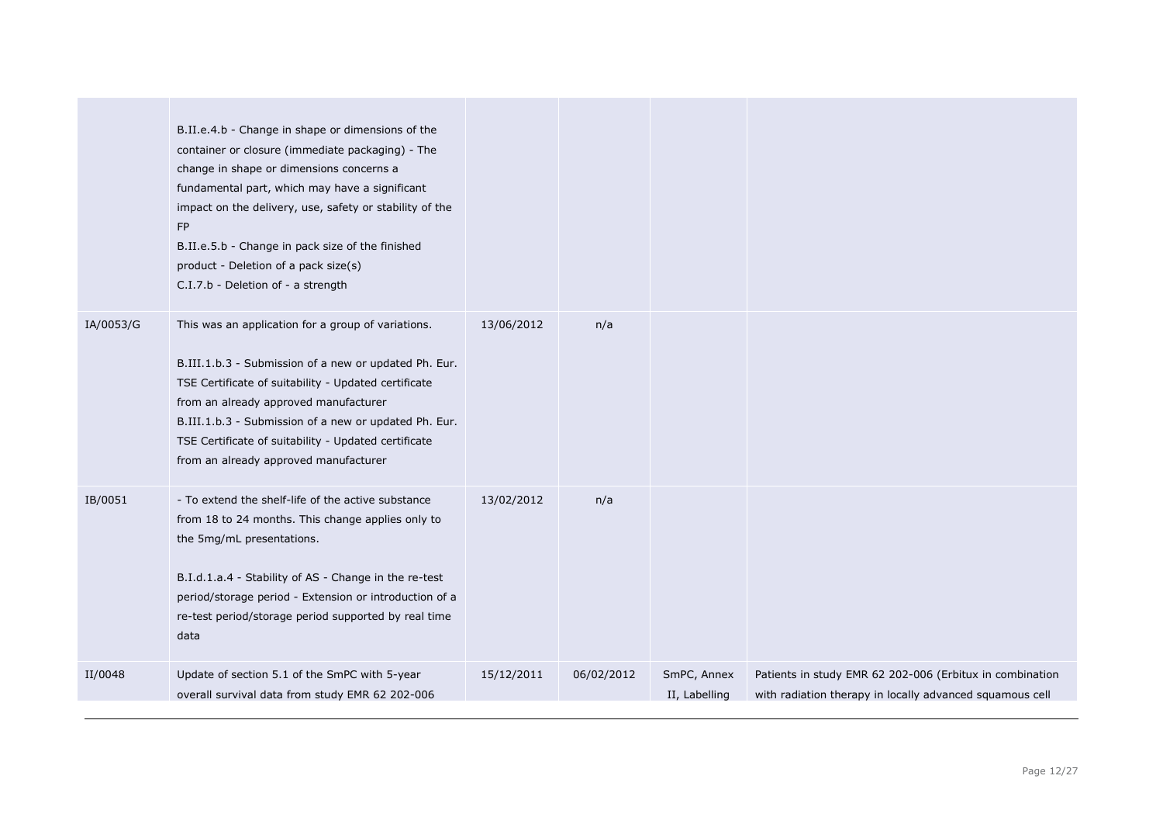|           | B.II.e.4.b - Change in shape or dimensions of the<br>container or closure (immediate packaging) - The<br>change in shape or dimensions concerns a<br>fundamental part, which may have a significant<br>impact on the delivery, use, safety or stability of the<br>FP<br>B.II.e.5.b - Change in pack size of the finished<br>product - Deletion of a pack size(s)<br>C.I.7.b - Deletion of - a strength |            |            |                              |                                                                                                                      |
|-----------|--------------------------------------------------------------------------------------------------------------------------------------------------------------------------------------------------------------------------------------------------------------------------------------------------------------------------------------------------------------------------------------------------------|------------|------------|------------------------------|----------------------------------------------------------------------------------------------------------------------|
| IA/0053/G | This was an application for a group of variations.<br>B.III.1.b.3 - Submission of a new or updated Ph. Eur.<br>TSE Certificate of suitability - Updated certificate<br>from an already approved manufacturer<br>B.III.1.b.3 - Submission of a new or updated Ph. Eur.<br>TSE Certificate of suitability - Updated certificate<br>from an already approved manufacturer                                 | 13/06/2012 | n/a        |                              |                                                                                                                      |
| IB/0051   | - To extend the shelf-life of the active substance<br>from 18 to 24 months. This change applies only to<br>the 5mg/mL presentations.<br>B.I.d.1.a.4 - Stability of AS - Change in the re-test<br>period/storage period - Extension or introduction of a<br>re-test period/storage period supported by real time<br>data                                                                                | 13/02/2012 | n/a        |                              |                                                                                                                      |
| II/0048   | Update of section 5.1 of the SmPC with 5-year<br>overall survival data from study EMR 62 202-006                                                                                                                                                                                                                                                                                                       | 15/12/2011 | 06/02/2012 | SmPC, Annex<br>II, Labelling | Patients in study EMR 62 202-006 (Erbitux in combination<br>with radiation therapy in locally advanced squamous cell |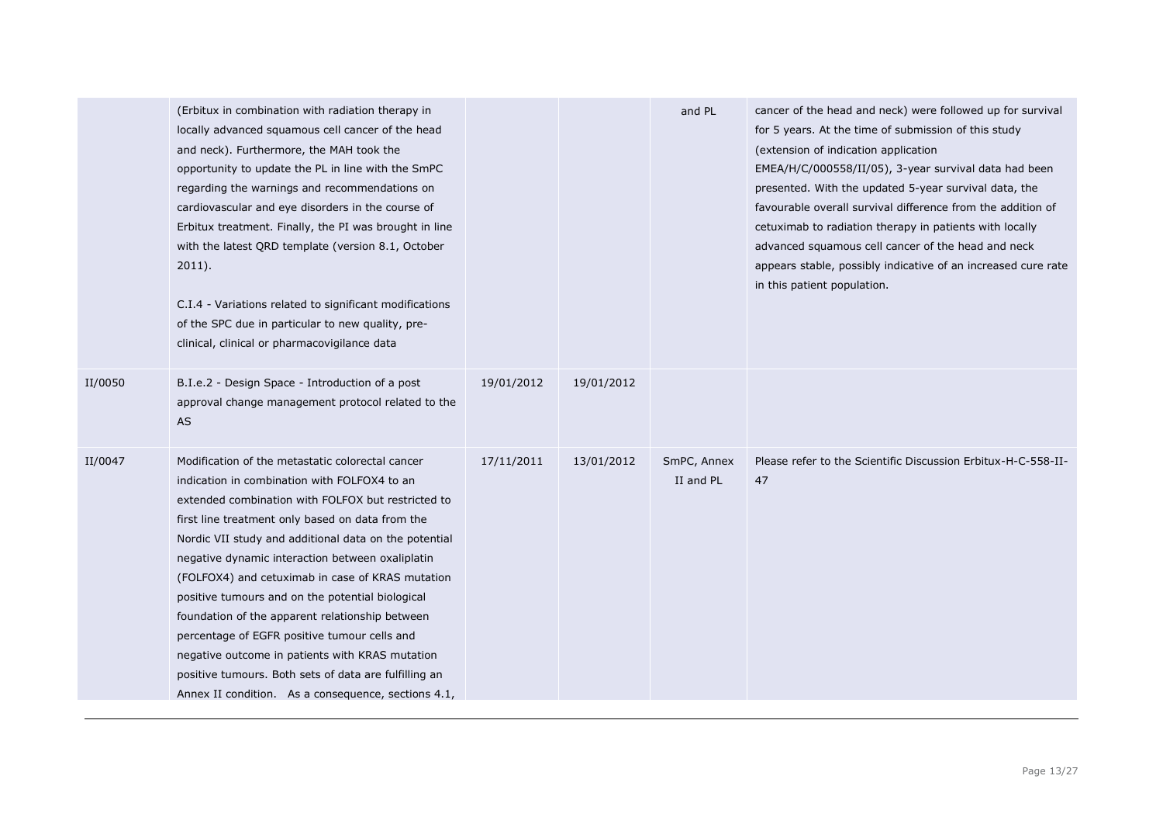|         | (Erbitux in combination with radiation therapy in<br>locally advanced squamous cell cancer of the head<br>and neck). Furthermore, the MAH took the<br>opportunity to update the PL in line with the SmPC<br>regarding the warnings and recommendations on<br>cardiovascular and eye disorders in the course of<br>Erbitux treatment. Finally, the PI was brought in line<br>with the latest QRD template (version 8.1, October<br>$2011$ ).<br>C.I.4 - Variations related to significant modifications<br>of the SPC due in particular to new quality, pre-<br>clinical, clinical or pharmacovigilance data                                                                                           |            |            | and PL                   | cancer of the head and neck) were followed up for survival<br>for 5 years. At the time of submission of this study<br>(extension of indication application<br>EMEA/H/C/000558/II/05), 3-year survival data had been<br>presented. With the updated 5-year survival data, the<br>favourable overall survival difference from the addition of<br>cetuximab to radiation therapy in patients with locally<br>advanced squamous cell cancer of the head and neck<br>appears stable, possibly indicative of an increased cure rate<br>in this patient population. |
|---------|-------------------------------------------------------------------------------------------------------------------------------------------------------------------------------------------------------------------------------------------------------------------------------------------------------------------------------------------------------------------------------------------------------------------------------------------------------------------------------------------------------------------------------------------------------------------------------------------------------------------------------------------------------------------------------------------------------|------------|------------|--------------------------|--------------------------------------------------------------------------------------------------------------------------------------------------------------------------------------------------------------------------------------------------------------------------------------------------------------------------------------------------------------------------------------------------------------------------------------------------------------------------------------------------------------------------------------------------------------|
| II/0050 | B.I.e.2 - Design Space - Introduction of a post<br>approval change management protocol related to the<br>AS                                                                                                                                                                                                                                                                                                                                                                                                                                                                                                                                                                                           | 19/01/2012 | 19/01/2012 |                          |                                                                                                                                                                                                                                                                                                                                                                                                                                                                                                                                                              |
| II/0047 | Modification of the metastatic colorectal cancer<br>indication in combination with FOLFOX4 to an<br>extended combination with FOLFOX but restricted to<br>first line treatment only based on data from the<br>Nordic VII study and additional data on the potential<br>negative dynamic interaction between oxaliplatin<br>(FOLFOX4) and cetuximab in case of KRAS mutation<br>positive tumours and on the potential biological<br>foundation of the apparent relationship between<br>percentage of EGFR positive tumour cells and<br>negative outcome in patients with KRAS mutation<br>positive tumours. Both sets of data are fulfilling an<br>Annex II condition. As a consequence, sections 4.1, | 17/11/2011 | 13/01/2012 | SmPC, Annex<br>II and PL | Please refer to the Scientific Discussion Erbitux-H-C-558-II-<br>47                                                                                                                                                                                                                                                                                                                                                                                                                                                                                          |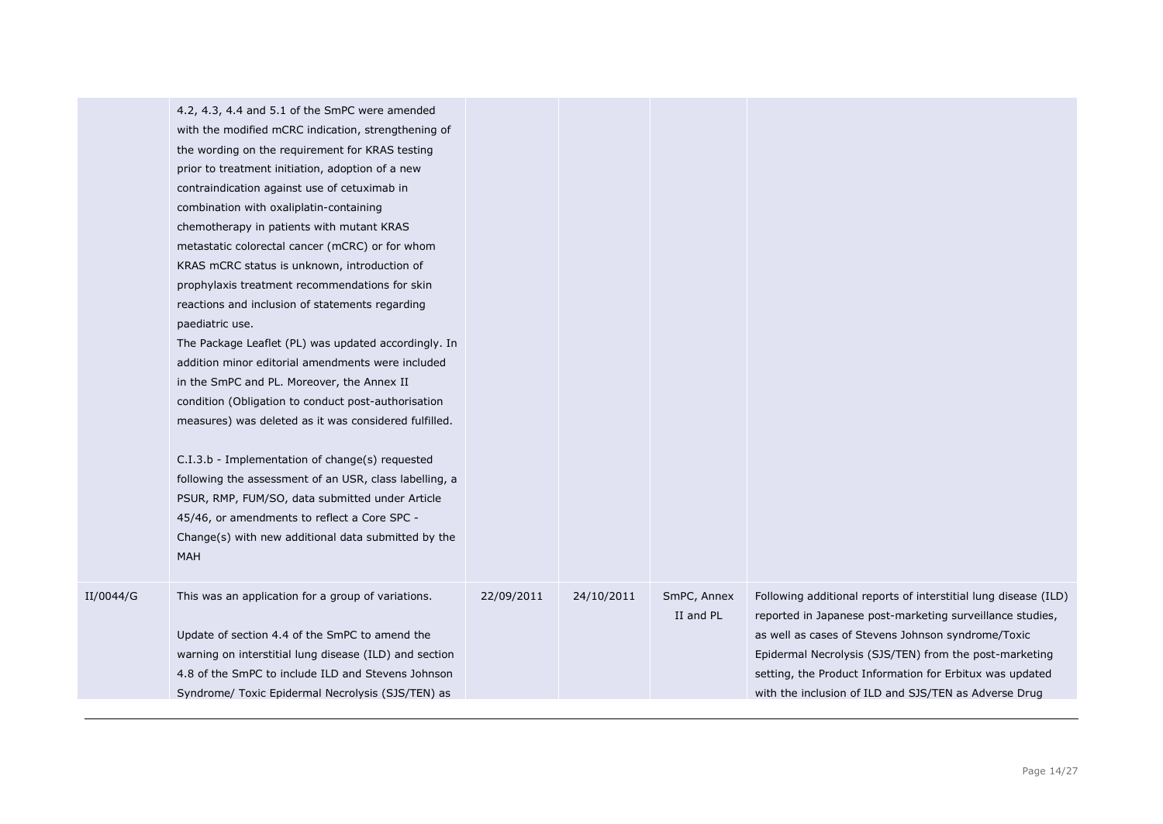|           | 4.2, 4.3, 4.4 and 5.1 of the SmPC were amended<br>with the modified mCRC indication, strengthening of<br>the wording on the requirement for KRAS testing<br>prior to treatment initiation, adoption of a new<br>contraindication against use of cetuximab in<br>combination with oxaliplatin-containing<br>chemotherapy in patients with mutant KRAS<br>metastatic colorectal cancer (mCRC) or for whom<br>KRAS mCRC status is unknown, introduction of<br>prophylaxis treatment recommendations for skin<br>reactions and inclusion of statements regarding<br>paediatric use.<br>The Package Leaflet (PL) was updated accordingly. In<br>addition minor editorial amendments were included<br>in the SmPC and PL. Moreover, the Annex II<br>condition (Obligation to conduct post-authorisation<br>measures) was deleted as it was considered fulfilled.<br>C.I.3.b - Implementation of change(s) requested<br>following the assessment of an USR, class labelling, a<br>PSUR, RMP, FUM/SO, data submitted under Article<br>45/46, or amendments to reflect a Core SPC -<br>Change(s) with new additional data submitted by the<br>MAH |            |            |                          |                                                                                                                                                                                                                                                                                                                                                                   |
|-----------|------------------------------------------------------------------------------------------------------------------------------------------------------------------------------------------------------------------------------------------------------------------------------------------------------------------------------------------------------------------------------------------------------------------------------------------------------------------------------------------------------------------------------------------------------------------------------------------------------------------------------------------------------------------------------------------------------------------------------------------------------------------------------------------------------------------------------------------------------------------------------------------------------------------------------------------------------------------------------------------------------------------------------------------------------------------------------------------------------------------------------------------|------------|------------|--------------------------|-------------------------------------------------------------------------------------------------------------------------------------------------------------------------------------------------------------------------------------------------------------------------------------------------------------------------------------------------------------------|
| II/0044/G | This was an application for a group of variations.<br>Update of section 4.4 of the SmPC to amend the<br>warning on interstitial lung disease (ILD) and section<br>4.8 of the SmPC to include ILD and Stevens Johnson<br>Syndrome/ Toxic Epidermal Necrolysis (SJS/TEN) as                                                                                                                                                                                                                                                                                                                                                                                                                                                                                                                                                                                                                                                                                                                                                                                                                                                                | 22/09/2011 | 24/10/2011 | SmPC, Annex<br>II and PL | Following additional reports of interstitial lung disease (ILD)<br>reported in Japanese post-marketing surveillance studies,<br>as well as cases of Stevens Johnson syndrome/Toxic<br>Epidermal Necrolysis (SJS/TEN) from the post-marketing<br>setting, the Product Information for Erbitux was updated<br>with the inclusion of ILD and SJS/TEN as Adverse Drug |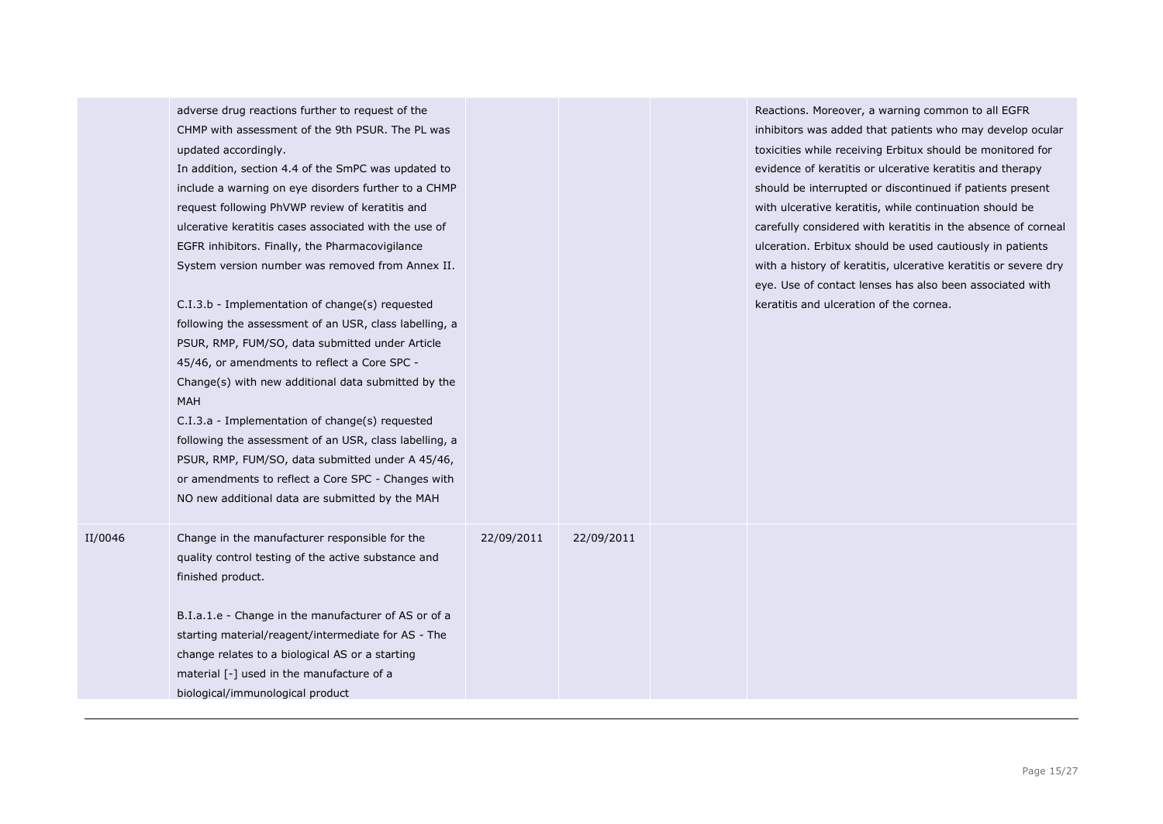|         | CHMP with assessment of the 9th PSUR. The PL was<br>updated accordingly.<br>In addition, section 4.4 of the SmPC was updated to<br>include a warning on eye disorders further to a CHMP<br>request following PhVWP review of keratitis and<br>ulcerative keratitis cases associated with the use of<br>EGFR inhibitors. Finally, the Pharmacovigilance<br>System version number was removed from Annex II.<br>C.I.3.b - Implementation of change(s) requested<br>following the assessment of an USR, class labelling, a<br>PSUR, RMP, FUM/SO, data submitted under Article |            |            | inhibitors was added that patients who may develop ocular<br>toxicities while receiving Erbitux should be monitored for<br>evidence of keratitis or ulcerative keratitis and therapy<br>should be interrupted or discontinued if patients present<br>with ulcerative keratitis, while continuation should be<br>carefully considered with keratitis in the absence of corneal<br>ulceration. Erbitux should be used cautiously in patients<br>with a history of keratitis, ulcerative keratitis or severe dry<br>eye. Use of contact lenses has also been associated with<br>keratitis and ulceration of the cornea. |
|---------|----------------------------------------------------------------------------------------------------------------------------------------------------------------------------------------------------------------------------------------------------------------------------------------------------------------------------------------------------------------------------------------------------------------------------------------------------------------------------------------------------------------------------------------------------------------------------|------------|------------|----------------------------------------------------------------------------------------------------------------------------------------------------------------------------------------------------------------------------------------------------------------------------------------------------------------------------------------------------------------------------------------------------------------------------------------------------------------------------------------------------------------------------------------------------------------------------------------------------------------------|
|         | 45/46, or amendments to reflect a Core SPC -<br>Change(s) with new additional data submitted by the<br><b>MAH</b><br>C.I.3.a - Implementation of change(s) requested<br>following the assessment of an USR, class labelling, a<br>PSUR, RMP, FUM/SO, data submitted under A 45/46,<br>or amendments to reflect a Core SPC - Changes with<br>NO new additional data are submitted by the MAH                                                                                                                                                                                |            |            |                                                                                                                                                                                                                                                                                                                                                                                                                                                                                                                                                                                                                      |
| II/0046 | Change in the manufacturer responsible for the<br>quality control testing of the active substance and<br>finished product.<br>B.I.a.1.e - Change in the manufacturer of AS or of a<br>starting material/reagent/intermediate for AS - The<br>change relates to a biological AS or a starting<br>material [-] used in the manufacture of a<br>biological/immunological product                                                                                                                                                                                              | 22/09/2011 | 22/09/2011 |                                                                                                                                                                                                                                                                                                                                                                                                                                                                                                                                                                                                                      |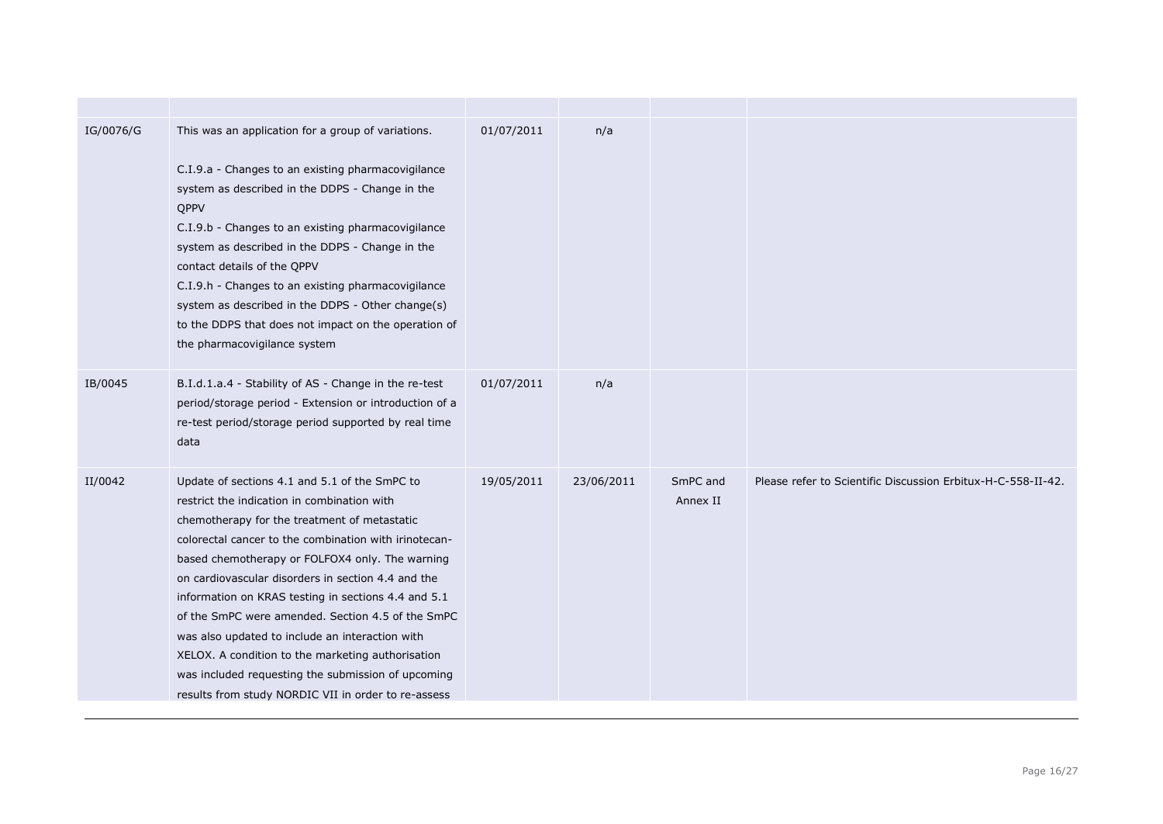| IG/0076/G | This was an application for a group of variations.<br>C.I.9.a - Changes to an existing pharmacovigilance<br>system as described in the DDPS - Change in the<br>QPPV<br>C.I.9.b - Changes to an existing pharmacovigilance<br>system as described in the DDPS - Change in the<br>contact details of the QPPV<br>C.I.9.h - Changes to an existing pharmacovigilance<br>system as described in the DDPS - Other change(s)<br>to the DDPS that does not impact on the operation of<br>the pharmacovigilance system                                                                                                                                  | 01/07/2011 | n/a        |                      |                                                              |
|-----------|-------------------------------------------------------------------------------------------------------------------------------------------------------------------------------------------------------------------------------------------------------------------------------------------------------------------------------------------------------------------------------------------------------------------------------------------------------------------------------------------------------------------------------------------------------------------------------------------------------------------------------------------------|------------|------------|----------------------|--------------------------------------------------------------|
| IB/0045   | B.I.d.1.a.4 - Stability of AS - Change in the re-test<br>period/storage period - Extension or introduction of a<br>re-test period/storage period supported by real time<br>data                                                                                                                                                                                                                                                                                                                                                                                                                                                                 | 01/07/2011 | n/a        |                      |                                                              |
| II/0042   | Update of sections 4.1 and 5.1 of the SmPC to<br>restrict the indication in combination with<br>chemotherapy for the treatment of metastatic<br>colorectal cancer to the combination with irinotecan-<br>based chemotherapy or FOLFOX4 only. The warning<br>on cardiovascular disorders in section 4.4 and the<br>information on KRAS testing in sections 4.4 and 5.1<br>of the SmPC were amended. Section 4.5 of the SmPC<br>was also updated to include an interaction with<br>XELOX. A condition to the marketing authorisation<br>was included requesting the submission of upcoming<br>results from study NORDIC VII in order to re-assess | 19/05/2011 | 23/06/2011 | SmPC and<br>Annex II | Please refer to Scientific Discussion Erbitux-H-C-558-II-42. |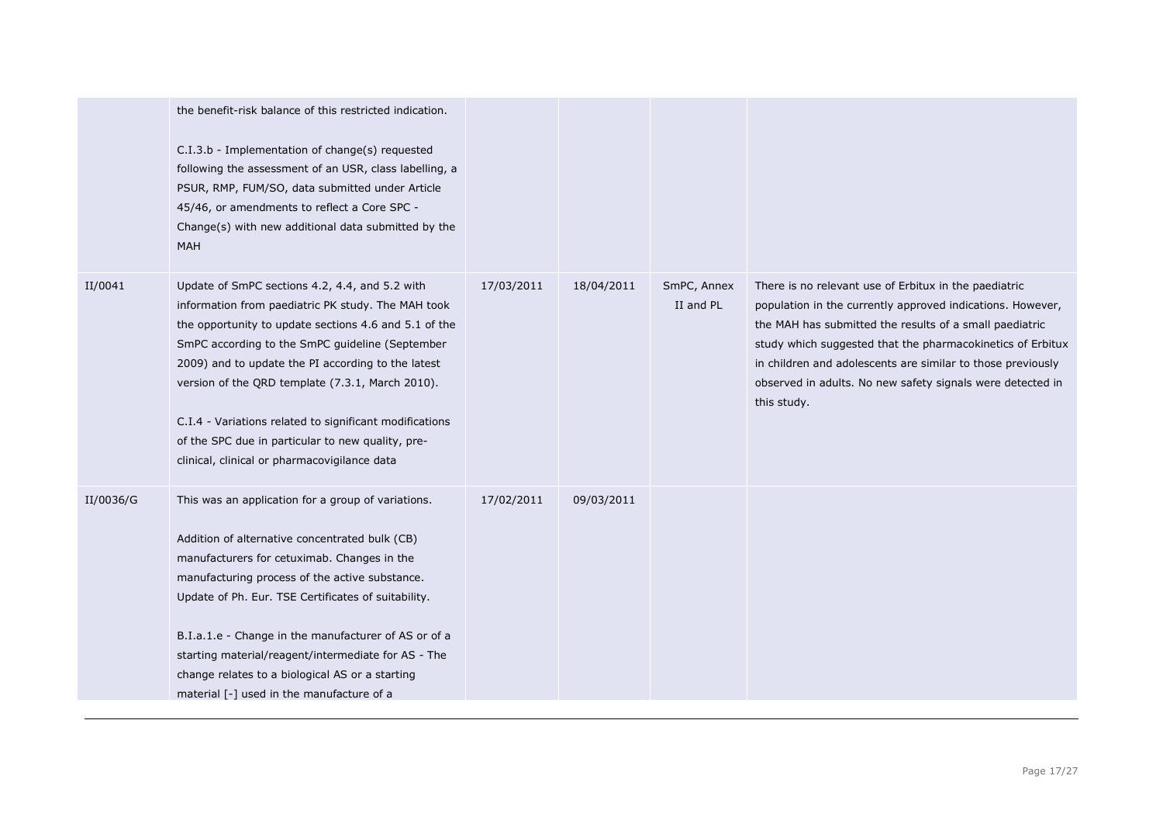|           | the benefit-risk balance of this restricted indication.<br>C.I.3.b - Implementation of change(s) requested<br>following the assessment of an USR, class labelling, a<br>PSUR, RMP, FUM/SO, data submitted under Article<br>45/46, or amendments to reflect a Core SPC -<br>Change(s) with new additional data submitted by the<br><b>MAH</b>                                                                                                                                               |            |            |                          |                                                                                                                                                                                                                                                                                                                                                                                          |
|-----------|--------------------------------------------------------------------------------------------------------------------------------------------------------------------------------------------------------------------------------------------------------------------------------------------------------------------------------------------------------------------------------------------------------------------------------------------------------------------------------------------|------------|------------|--------------------------|------------------------------------------------------------------------------------------------------------------------------------------------------------------------------------------------------------------------------------------------------------------------------------------------------------------------------------------------------------------------------------------|
| II/0041   | Update of SmPC sections 4.2, 4.4, and 5.2 with<br>information from paediatric PK study. The MAH took<br>the opportunity to update sections 4.6 and 5.1 of the<br>SmPC according to the SmPC guideline (September<br>2009) and to update the PI according to the latest<br>version of the QRD template (7.3.1, March 2010).<br>C.I.4 - Variations related to significant modifications<br>of the SPC due in particular to new quality, pre-<br>clinical, clinical or pharmacovigilance data | 17/03/2011 | 18/04/2011 | SmPC, Annex<br>II and PL | There is no relevant use of Erbitux in the paediatric<br>population in the currently approved indications. However,<br>the MAH has submitted the results of a small paediatric<br>study which suggested that the pharmacokinetics of Erbitux<br>in children and adolescents are similar to those previously<br>observed in adults. No new safety signals were detected in<br>this study. |
| II/0036/G | This was an application for a group of variations.<br>Addition of alternative concentrated bulk (CB)<br>manufacturers for cetuximab. Changes in the<br>manufacturing process of the active substance.<br>Update of Ph. Eur. TSE Certificates of suitability.<br>B.I.a.1.e - Change in the manufacturer of AS or of a<br>starting material/reagent/intermediate for AS - The<br>change relates to a biological AS or a starting<br>material [-] used in the manufacture of a                | 17/02/2011 | 09/03/2011 |                          |                                                                                                                                                                                                                                                                                                                                                                                          |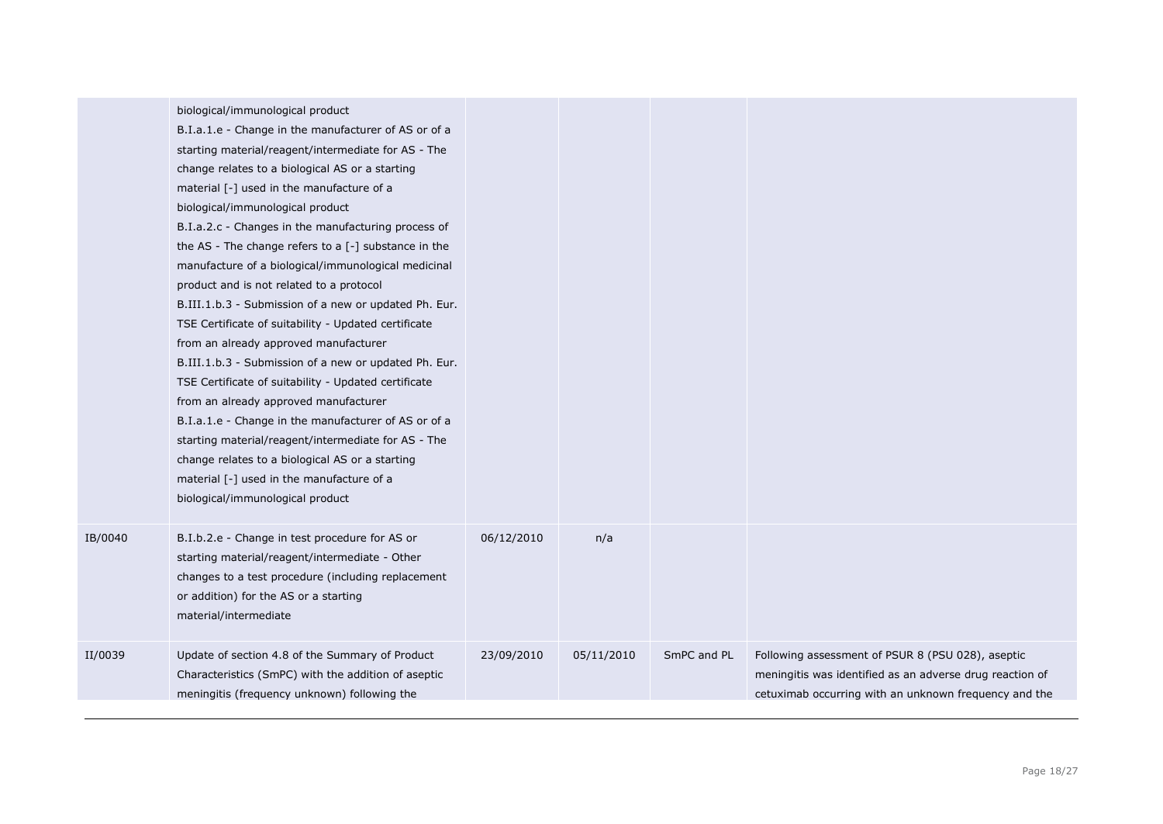|         | biological/immunological product<br>B.I.a.1.e - Change in the manufacturer of AS or of a<br>starting material/reagent/intermediate for AS - The<br>change relates to a biological AS or a starting<br>material [-] used in the manufacture of a<br>biological/immunological product<br>B.I.a.2.c - Changes in the manufacturing process of<br>the AS - The change refers to a $[-]$ substance in the<br>manufacture of a biological/immunological medicinal<br>product and is not related to a protocol<br>B.III.1.b.3 - Submission of a new or updated Ph. Eur.<br>TSE Certificate of suitability - Updated certificate<br>from an already approved manufacturer<br>B.III.1.b.3 - Submission of a new or updated Ph. Eur.<br>TSE Certificate of suitability - Updated certificate<br>from an already approved manufacturer<br>B.I.a.1.e - Change in the manufacturer of AS or of a<br>starting material/reagent/intermediate for AS - The<br>change relates to a biological AS or a starting<br>material [-] used in the manufacture of a<br>biological/immunological product |            |            |             |                                                                                                                                                                        |
|---------|--------------------------------------------------------------------------------------------------------------------------------------------------------------------------------------------------------------------------------------------------------------------------------------------------------------------------------------------------------------------------------------------------------------------------------------------------------------------------------------------------------------------------------------------------------------------------------------------------------------------------------------------------------------------------------------------------------------------------------------------------------------------------------------------------------------------------------------------------------------------------------------------------------------------------------------------------------------------------------------------------------------------------------------------------------------------------------|------------|------------|-------------|------------------------------------------------------------------------------------------------------------------------------------------------------------------------|
| IB/0040 | B.I.b.2.e - Change in test procedure for AS or<br>starting material/reagent/intermediate - Other<br>changes to a test procedure (including replacement<br>or addition) for the AS or a starting<br>material/intermediate                                                                                                                                                                                                                                                                                                                                                                                                                                                                                                                                                                                                                                                                                                                                                                                                                                                       | 06/12/2010 | n/a        |             |                                                                                                                                                                        |
| II/0039 | Update of section 4.8 of the Summary of Product<br>Characteristics (SmPC) with the addition of aseptic<br>meningitis (frequency unknown) following the                                                                                                                                                                                                                                                                                                                                                                                                                                                                                                                                                                                                                                                                                                                                                                                                                                                                                                                         | 23/09/2010 | 05/11/2010 | SmPC and PL | Following assessment of PSUR 8 (PSU 028), aseptic<br>meningitis was identified as an adverse drug reaction of<br>cetuximab occurring with an unknown frequency and the |
|         |                                                                                                                                                                                                                                                                                                                                                                                                                                                                                                                                                                                                                                                                                                                                                                                                                                                                                                                                                                                                                                                                                |            |            |             |                                                                                                                                                                        |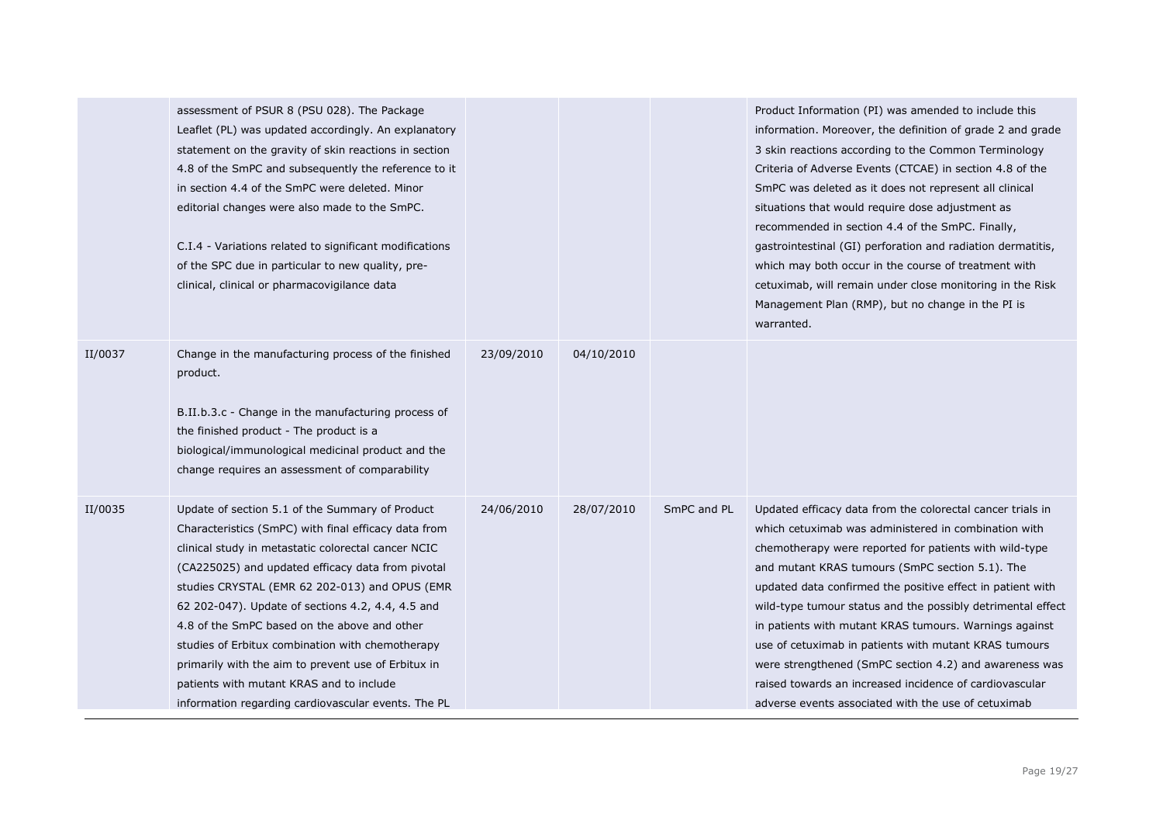|         | assessment of PSUR 8 (PSU 028). The Package<br>Leaflet (PL) was updated accordingly. An explanatory<br>statement on the gravity of skin reactions in section<br>4.8 of the SmPC and subsequently the reference to it<br>in section 4.4 of the SmPC were deleted. Minor<br>editorial changes were also made to the SmPC.<br>C.I.4 - Variations related to significant modifications<br>of the SPC due in particular to new quality, pre-<br>clinical, clinical or pharmacovigilance data                                                                                                  |            |            |             | Product Information (PI) was amended to include this<br>information. Moreover, the definition of grade 2 and grade<br>3 skin reactions according to the Common Terminology<br>Criteria of Adverse Events (CTCAE) in section 4.8 of the<br>SmPC was deleted as it does not represent all clinical<br>situations that would require dose adjustment as<br>recommended in section 4.4 of the SmPC. Finally,<br>gastrointestinal (GI) perforation and radiation dermatitis,<br>which may both occur in the course of treatment with<br>cetuximab, will remain under close monitoring in the Risk<br>Management Plan (RMP), but no change in the PI is<br>warranted. |
|---------|------------------------------------------------------------------------------------------------------------------------------------------------------------------------------------------------------------------------------------------------------------------------------------------------------------------------------------------------------------------------------------------------------------------------------------------------------------------------------------------------------------------------------------------------------------------------------------------|------------|------------|-------------|-----------------------------------------------------------------------------------------------------------------------------------------------------------------------------------------------------------------------------------------------------------------------------------------------------------------------------------------------------------------------------------------------------------------------------------------------------------------------------------------------------------------------------------------------------------------------------------------------------------------------------------------------------------------|
| II/0037 | Change in the manufacturing process of the finished<br>product.<br>B.II.b.3.c - Change in the manufacturing process of<br>the finished product - The product is a<br>biological/immunological medicinal product and the<br>change requires an assessment of comparability                                                                                                                                                                                                                                                                                                                | 23/09/2010 | 04/10/2010 |             |                                                                                                                                                                                                                                                                                                                                                                                                                                                                                                                                                                                                                                                                 |
| II/0035 | Update of section 5.1 of the Summary of Product<br>Characteristics (SmPC) with final efficacy data from<br>clinical study in metastatic colorectal cancer NCIC<br>(CA225025) and updated efficacy data from pivotal<br>studies CRYSTAL (EMR 62 202-013) and OPUS (EMR<br>62 202-047). Update of sections 4.2, 4.4, 4.5 and<br>4.8 of the SmPC based on the above and other<br>studies of Erbitux combination with chemotherapy<br>primarily with the aim to prevent use of Erbitux in<br>patients with mutant KRAS and to include<br>information regarding cardiovascular events. The PL | 24/06/2010 | 28/07/2010 | SmPC and PL | Updated efficacy data from the colorectal cancer trials in<br>which cetuximab was administered in combination with<br>chemotherapy were reported for patients with wild-type<br>and mutant KRAS tumours (SmPC section 5.1). The<br>updated data confirmed the positive effect in patient with<br>wild-type tumour status and the possibly detrimental effect<br>in patients with mutant KRAS tumours. Warnings against<br>use of cetuximab in patients with mutant KRAS tumours<br>were strengthened (SmPC section 4.2) and awareness was<br>raised towards an increased incidence of cardiovascular<br>adverse events associated with the use of cetuximab     |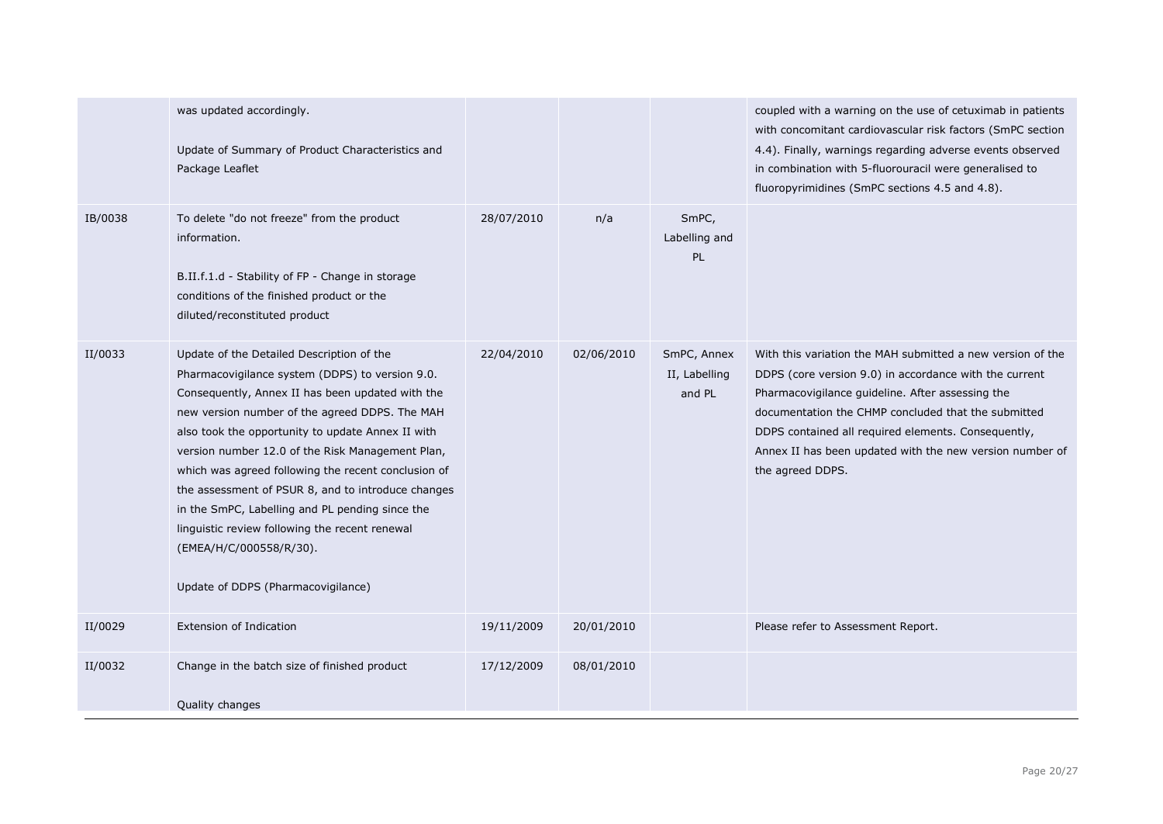|         | was updated accordingly.<br>Update of Summary of Product Characteristics and<br>Package Leaflet                                                                                                                                                                                                                                                                                                                                                                                                                                                                                                |            |            |                                        | coupled with a warning on the use of cetuximab in patients<br>with concomitant cardiovascular risk factors (SmPC section<br>4.4). Finally, warnings regarding adverse events observed<br>in combination with 5-fluorouracil were generalised to<br>fluoropyrimidines (SmPC sections 4.5 and 4.8).                                                                      |
|---------|------------------------------------------------------------------------------------------------------------------------------------------------------------------------------------------------------------------------------------------------------------------------------------------------------------------------------------------------------------------------------------------------------------------------------------------------------------------------------------------------------------------------------------------------------------------------------------------------|------------|------------|----------------------------------------|------------------------------------------------------------------------------------------------------------------------------------------------------------------------------------------------------------------------------------------------------------------------------------------------------------------------------------------------------------------------|
| IB/0038 | To delete "do not freeze" from the product<br>information.<br>B.II.f.1.d - Stability of FP - Change in storage<br>conditions of the finished product or the<br>diluted/reconstituted product                                                                                                                                                                                                                                                                                                                                                                                                   | 28/07/2010 | n/a        | SmPC,<br>Labelling and<br><b>PL</b>    |                                                                                                                                                                                                                                                                                                                                                                        |
| II/0033 | Update of the Detailed Description of the<br>Pharmacovigilance system (DDPS) to version 9.0.<br>Consequently, Annex II has been updated with the<br>new version number of the agreed DDPS. The MAH<br>also took the opportunity to update Annex II with<br>version number 12.0 of the Risk Management Plan,<br>which was agreed following the recent conclusion of<br>the assessment of PSUR 8, and to introduce changes<br>in the SmPC, Labelling and PL pending since the<br>linguistic review following the recent renewal<br>(EMEA/H/C/000558/R/30).<br>Update of DDPS (Pharmacovigilance) | 22/04/2010 | 02/06/2010 | SmPC, Annex<br>II, Labelling<br>and PL | With this variation the MAH submitted a new version of the<br>DDPS (core version 9.0) in accordance with the current<br>Pharmacovigilance guideline. After assessing the<br>documentation the CHMP concluded that the submitted<br>DDPS contained all required elements. Consequently,<br>Annex II has been updated with the new version number of<br>the agreed DDPS. |
| II/0029 | <b>Extension of Indication</b>                                                                                                                                                                                                                                                                                                                                                                                                                                                                                                                                                                 | 19/11/2009 | 20/01/2010 |                                        | Please refer to Assessment Report.                                                                                                                                                                                                                                                                                                                                     |
| II/0032 | Change in the batch size of finished product<br>Quality changes                                                                                                                                                                                                                                                                                                                                                                                                                                                                                                                                | 17/12/2009 | 08/01/2010 |                                        |                                                                                                                                                                                                                                                                                                                                                                        |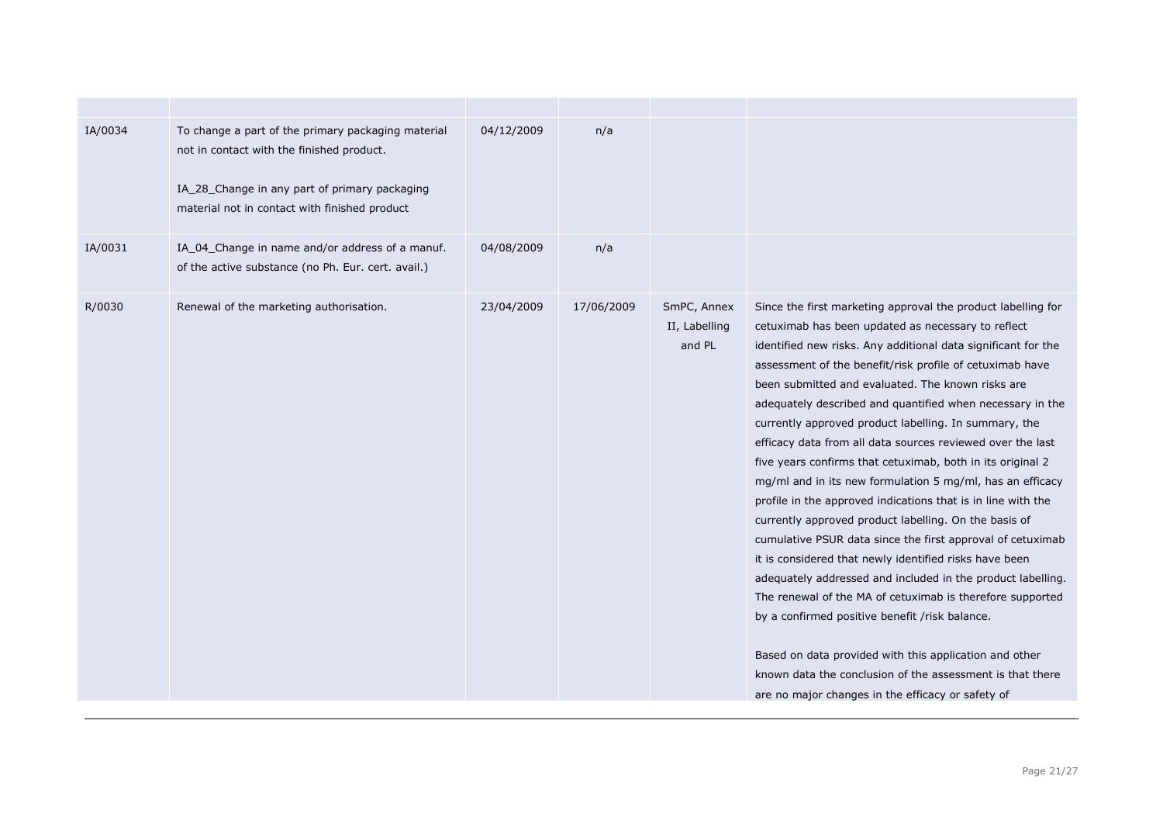| IA/0034 | To change a part of the primary packaging material<br>not in contact with the finished product.<br>IA_28_Change in any part of primary packaging<br>material not in contact with finished product | 04/12/2009 | n/a        |                                        |                                                                                                                                                                                                                                                                                                                                                                                                                                                                                                                                                                                                                                                                                                                                                                                                                                                                                                                                                                                                                                                                                                                                                                                                                                |
|---------|---------------------------------------------------------------------------------------------------------------------------------------------------------------------------------------------------|------------|------------|----------------------------------------|--------------------------------------------------------------------------------------------------------------------------------------------------------------------------------------------------------------------------------------------------------------------------------------------------------------------------------------------------------------------------------------------------------------------------------------------------------------------------------------------------------------------------------------------------------------------------------------------------------------------------------------------------------------------------------------------------------------------------------------------------------------------------------------------------------------------------------------------------------------------------------------------------------------------------------------------------------------------------------------------------------------------------------------------------------------------------------------------------------------------------------------------------------------------------------------------------------------------------------|
| IA/0031 | IA_04_Change in name and/or address of a manuf.<br>of the active substance (no Ph. Eur. cert. avail.)                                                                                             | 04/08/2009 | n/a        |                                        |                                                                                                                                                                                                                                                                                                                                                                                                                                                                                                                                                                                                                                                                                                                                                                                                                                                                                                                                                                                                                                                                                                                                                                                                                                |
| R/0030  | Renewal of the marketing authorisation.                                                                                                                                                           | 23/04/2009 | 17/06/2009 | SmPC, Annex<br>II, Labelling<br>and PL | Since the first marketing approval the product labelling for<br>cetuximab has been updated as necessary to reflect<br>identified new risks. Any additional data significant for the<br>assessment of the benefit/risk profile of cetuximab have<br>been submitted and evaluated. The known risks are<br>adequately described and quantified when necessary in the<br>currently approved product labelling. In summary, the<br>efficacy data from all data sources reviewed over the last<br>five years confirms that cetuximab, both in its original 2<br>mg/ml and in its new formulation 5 mg/ml, has an efficacy<br>profile in the approved indications that is in line with the<br>currently approved product labelling. On the basis of<br>cumulative PSUR data since the first approval of cetuximab<br>it is considered that newly identified risks have been<br>adequately addressed and included in the product labelling.<br>The renewal of the MA of cetuximab is therefore supported<br>by a confirmed positive benefit /risk balance.<br>Based on data provided with this application and other<br>known data the conclusion of the assessment is that there<br>are no major changes in the efficacy or safety of |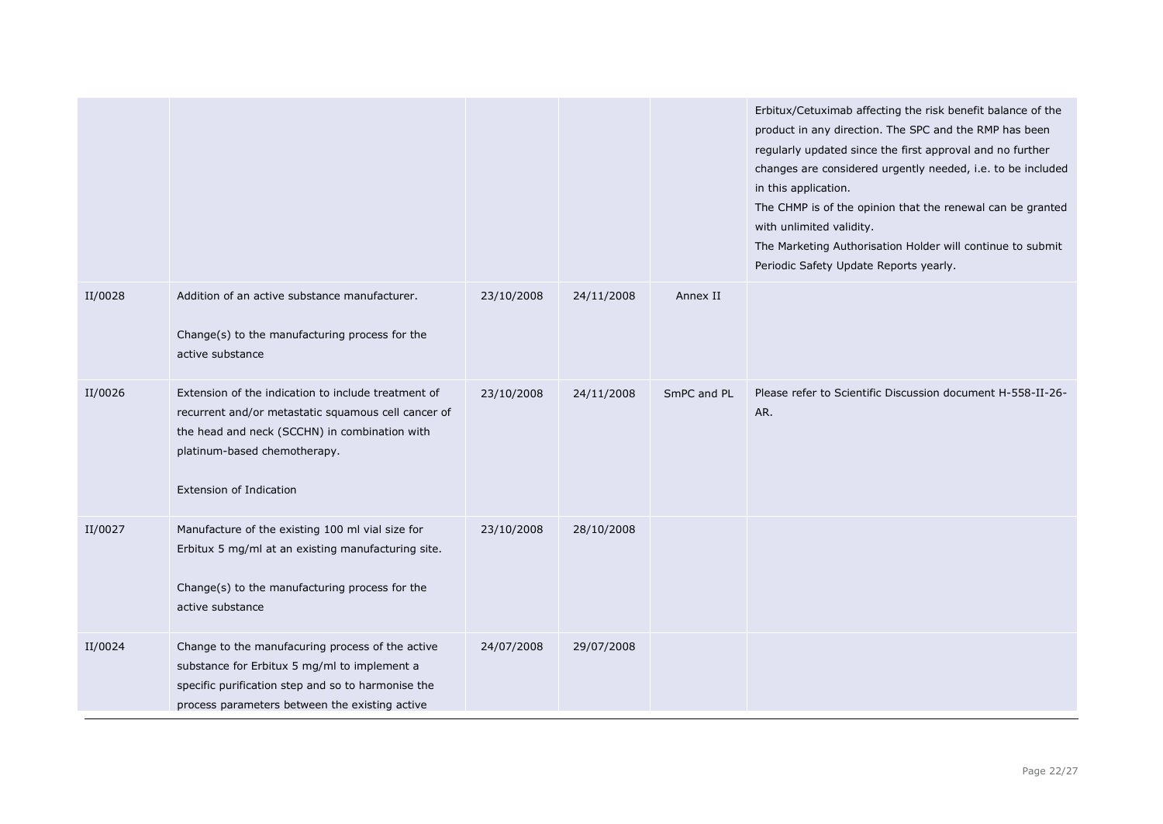|         |                                                                                                                                                                                                                               |            |            |             | Erbitux/Cetuximab affecting the risk benefit balance of the<br>product in any direction. The SPC and the RMP has been<br>regularly updated since the first approval and no further<br>changes are considered urgently needed, i.e. to be included<br>in this application.<br>The CHMP is of the opinion that the renewal can be granted<br>with unlimited validity.<br>The Marketing Authorisation Holder will continue to submit<br>Periodic Safety Update Reports yearly. |
|---------|-------------------------------------------------------------------------------------------------------------------------------------------------------------------------------------------------------------------------------|------------|------------|-------------|-----------------------------------------------------------------------------------------------------------------------------------------------------------------------------------------------------------------------------------------------------------------------------------------------------------------------------------------------------------------------------------------------------------------------------------------------------------------------------|
| II/0028 | Addition of an active substance manufacturer.<br>Change(s) to the manufacturing process for the<br>active substance                                                                                                           | 23/10/2008 | 24/11/2008 | Annex II    |                                                                                                                                                                                                                                                                                                                                                                                                                                                                             |
| II/0026 | Extension of the indication to include treatment of<br>recurrent and/or metastatic squamous cell cancer of<br>the head and neck (SCCHN) in combination with<br>platinum-based chemotherapy.<br><b>Extension of Indication</b> | 23/10/2008 | 24/11/2008 | SmPC and PL | Please refer to Scientific Discussion document H-558-II-26-<br>AR.                                                                                                                                                                                                                                                                                                                                                                                                          |
| II/0027 | Manufacture of the existing 100 ml vial size for<br>Erbitux 5 mg/ml at an existing manufacturing site.<br>Change(s) to the manufacturing process for the<br>active substance                                                  | 23/10/2008 | 28/10/2008 |             |                                                                                                                                                                                                                                                                                                                                                                                                                                                                             |
| II/0024 | Change to the manufacuring process of the active<br>substance for Erbitux 5 mg/ml to implement a<br>specific purification step and so to harmonise the<br>process parameters between the existing active                      | 24/07/2008 | 29/07/2008 |             |                                                                                                                                                                                                                                                                                                                                                                                                                                                                             |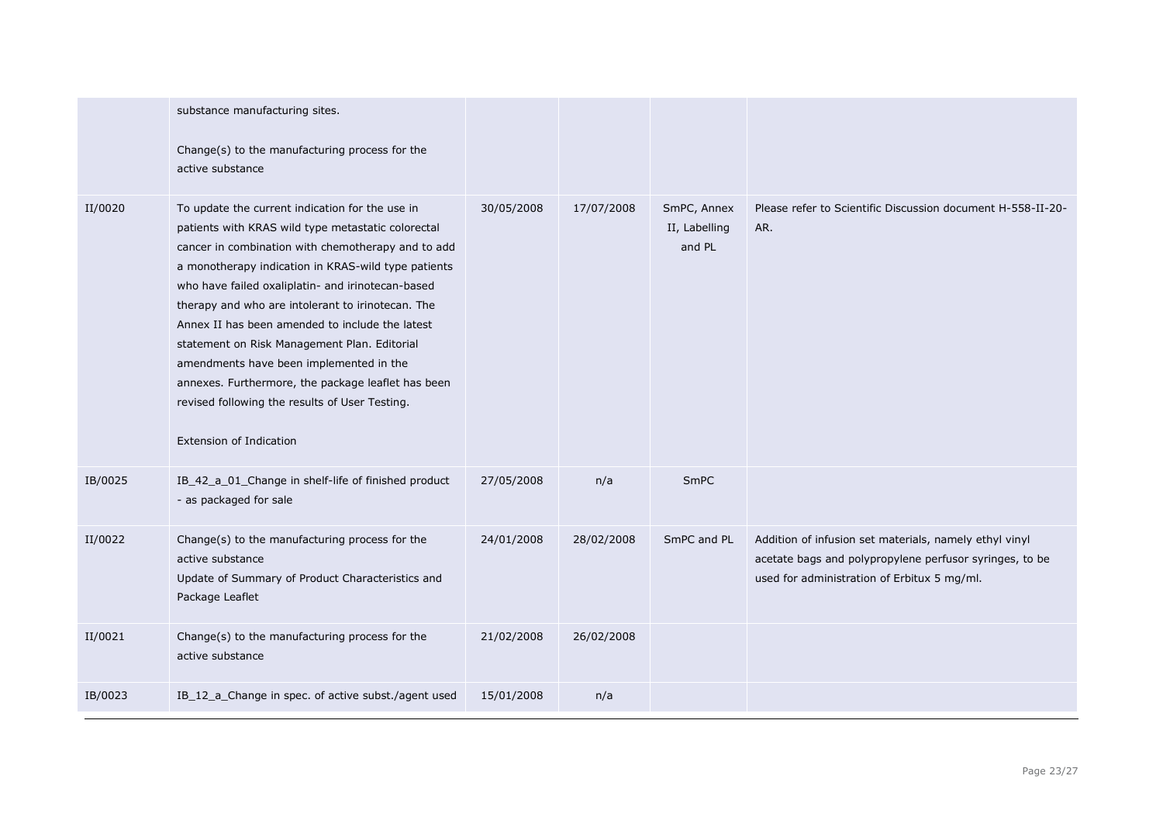|         | substance manufacturing sites.<br>Change(s) to the manufacturing process for the<br>active substance                                                                                                                                                                                                                                                                                                                                                                                                                                                                                                                 |            |            |                                        |                                                                                                                                                                  |
|---------|----------------------------------------------------------------------------------------------------------------------------------------------------------------------------------------------------------------------------------------------------------------------------------------------------------------------------------------------------------------------------------------------------------------------------------------------------------------------------------------------------------------------------------------------------------------------------------------------------------------------|------------|------------|----------------------------------------|------------------------------------------------------------------------------------------------------------------------------------------------------------------|
| II/0020 | To update the current indication for the use in<br>patients with KRAS wild type metastatic colorectal<br>cancer in combination with chemotherapy and to add<br>a monotherapy indication in KRAS-wild type patients<br>who have failed oxaliplatin- and irinotecan-based<br>therapy and who are intolerant to irinotecan. The<br>Annex II has been amended to include the latest<br>statement on Risk Management Plan. Editorial<br>amendments have been implemented in the<br>annexes. Furthermore, the package leaflet has been<br>revised following the results of User Testing.<br><b>Extension of Indication</b> | 30/05/2008 | 17/07/2008 | SmPC, Annex<br>II, Labelling<br>and PL | Please refer to Scientific Discussion document H-558-II-20-<br>AR.                                                                                               |
| IB/0025 | IB_42_a_01_Change in shelf-life of finished product<br>- as packaged for sale                                                                                                                                                                                                                                                                                                                                                                                                                                                                                                                                        | 27/05/2008 | n/a        | <b>SmPC</b>                            |                                                                                                                                                                  |
| II/0022 | Change(s) to the manufacturing process for the<br>active substance<br>Update of Summary of Product Characteristics and<br>Package Leaflet                                                                                                                                                                                                                                                                                                                                                                                                                                                                            | 24/01/2008 | 28/02/2008 | SmPC and PL                            | Addition of infusion set materials, namely ethyl vinyl<br>acetate bags and polypropylene perfusor syringes, to be<br>used for administration of Erbitux 5 mg/ml. |
| II/0021 | Change(s) to the manufacturing process for the<br>active substance                                                                                                                                                                                                                                                                                                                                                                                                                                                                                                                                                   | 21/02/2008 | 26/02/2008 |                                        |                                                                                                                                                                  |
| IB/0023 | IB_12_a_Change in spec. of active subst./agent used                                                                                                                                                                                                                                                                                                                                                                                                                                                                                                                                                                  | 15/01/2008 | n/a        |                                        |                                                                                                                                                                  |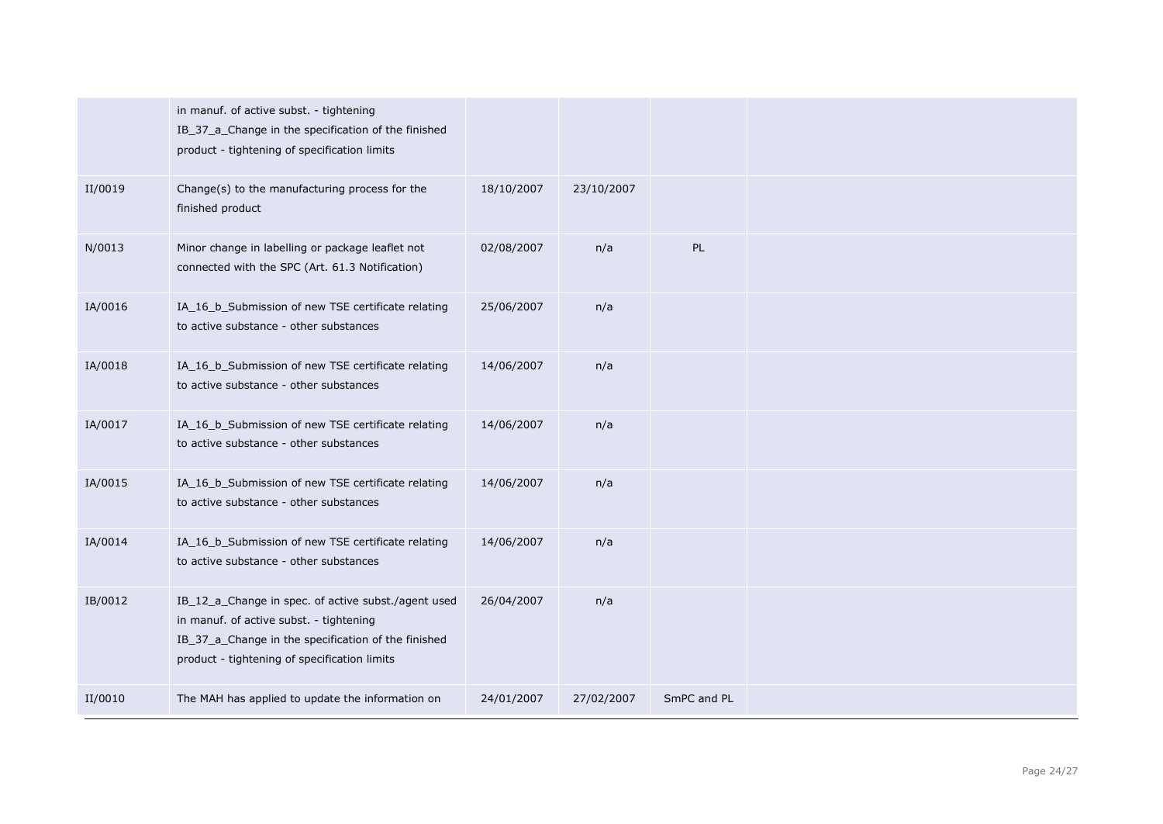|         | in manuf. of active subst. - tightening<br>IB_37_a_Change in the specification of the finished<br>product - tightening of specification limits                                                        |            |            |             |  |
|---------|-------------------------------------------------------------------------------------------------------------------------------------------------------------------------------------------------------|------------|------------|-------------|--|
| II/0019 | Change(s) to the manufacturing process for the<br>finished product                                                                                                                                    | 18/10/2007 | 23/10/2007 |             |  |
| N/0013  | Minor change in labelling or package leaflet not<br>connected with the SPC (Art. 61.3 Notification)                                                                                                   | 02/08/2007 | n/a        | PL          |  |
| IA/0016 | IA_16_b_Submission of new TSE certificate relating<br>to active substance - other substances                                                                                                          | 25/06/2007 | n/a        |             |  |
| IA/0018 | IA_16_b_Submission of new TSE certificate relating<br>to active substance - other substances                                                                                                          | 14/06/2007 | n/a        |             |  |
| IA/0017 | IA_16_b_Submission of new TSE certificate relating<br>to active substance - other substances                                                                                                          | 14/06/2007 | n/a        |             |  |
| IA/0015 | IA_16_b_Submission of new TSE certificate relating<br>to active substance - other substances                                                                                                          | 14/06/2007 | n/a        |             |  |
| IA/0014 | IA_16_b_Submission of new TSE certificate relating<br>to active substance - other substances                                                                                                          | 14/06/2007 | n/a        |             |  |
| IB/0012 | IB_12_a_Change in spec. of active subst./agent used<br>in manuf. of active subst. - tightening<br>IB_37_a_Change in the specification of the finished<br>product - tightening of specification limits | 26/04/2007 | n/a        |             |  |
| II/0010 | The MAH has applied to update the information on                                                                                                                                                      | 24/01/2007 | 27/02/2007 | SmPC and PL |  |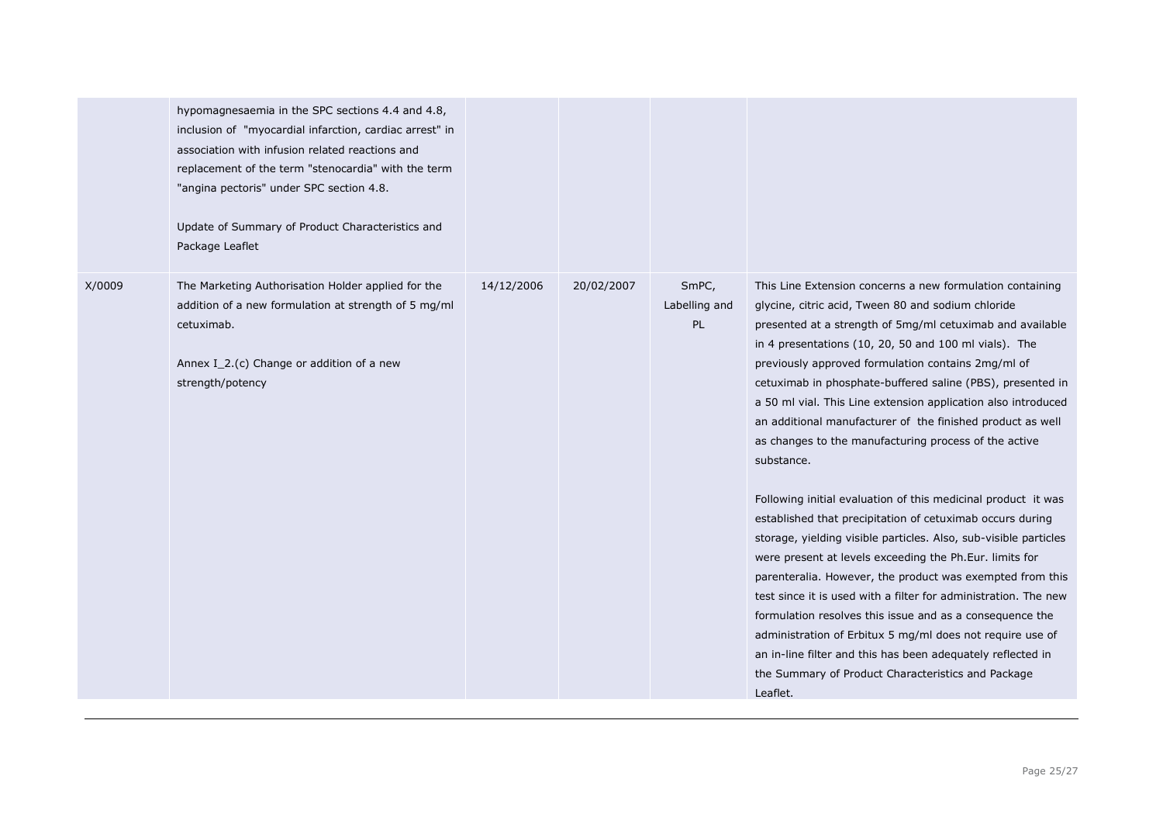|        | hypomagnesaemia in the SPC sections 4.4 and 4.8,<br>inclusion of "myocardial infarction, cardiac arrest" in<br>association with infusion related reactions and<br>replacement of the term "stenocardia" with the term<br>"angina pectoris" under SPC section 4.8.<br>Update of Summary of Product Characteristics and<br>Package Leaflet |            |            |                              |                                                                                                                                                                                                                                                                                                                                                                                                                                                                                                                                                                                                                                                                                                                                                                                                                                                                                                                                                                                                                                                                                                                                                                                                                        |
|--------|------------------------------------------------------------------------------------------------------------------------------------------------------------------------------------------------------------------------------------------------------------------------------------------------------------------------------------------|------------|------------|------------------------------|------------------------------------------------------------------------------------------------------------------------------------------------------------------------------------------------------------------------------------------------------------------------------------------------------------------------------------------------------------------------------------------------------------------------------------------------------------------------------------------------------------------------------------------------------------------------------------------------------------------------------------------------------------------------------------------------------------------------------------------------------------------------------------------------------------------------------------------------------------------------------------------------------------------------------------------------------------------------------------------------------------------------------------------------------------------------------------------------------------------------------------------------------------------------------------------------------------------------|
| X/0009 | The Marketing Authorisation Holder applied for the<br>addition of a new formulation at strength of 5 mg/ml<br>cetuximab.<br>Annex I_2.(c) Change or addition of a new<br>strength/potency                                                                                                                                                | 14/12/2006 | 20/02/2007 | SmPC,<br>Labelling and<br>PL | This Line Extension concerns a new formulation containing<br>glycine, citric acid, Tween 80 and sodium chloride<br>presented at a strength of 5mg/ml cetuximab and available<br>in 4 presentations (10, 20, 50 and 100 ml vials). The<br>previously approved formulation contains 2mg/ml of<br>cetuximab in phosphate-buffered saline (PBS), presented in<br>a 50 ml vial. This Line extension application also introduced<br>an additional manufacturer of the finished product as well<br>as changes to the manufacturing process of the active<br>substance.<br>Following initial evaluation of this medicinal product it was<br>established that precipitation of cetuximab occurs during<br>storage, yielding visible particles. Also, sub-visible particles<br>were present at levels exceeding the Ph.Eur. limits for<br>parenteralia. However, the product was exempted from this<br>test since it is used with a filter for administration. The new<br>formulation resolves this issue and as a consequence the<br>administration of Erbitux 5 mg/ml does not require use of<br>an in-line filter and this has been adequately reflected in<br>the Summary of Product Characteristics and Package<br>Leaflet. |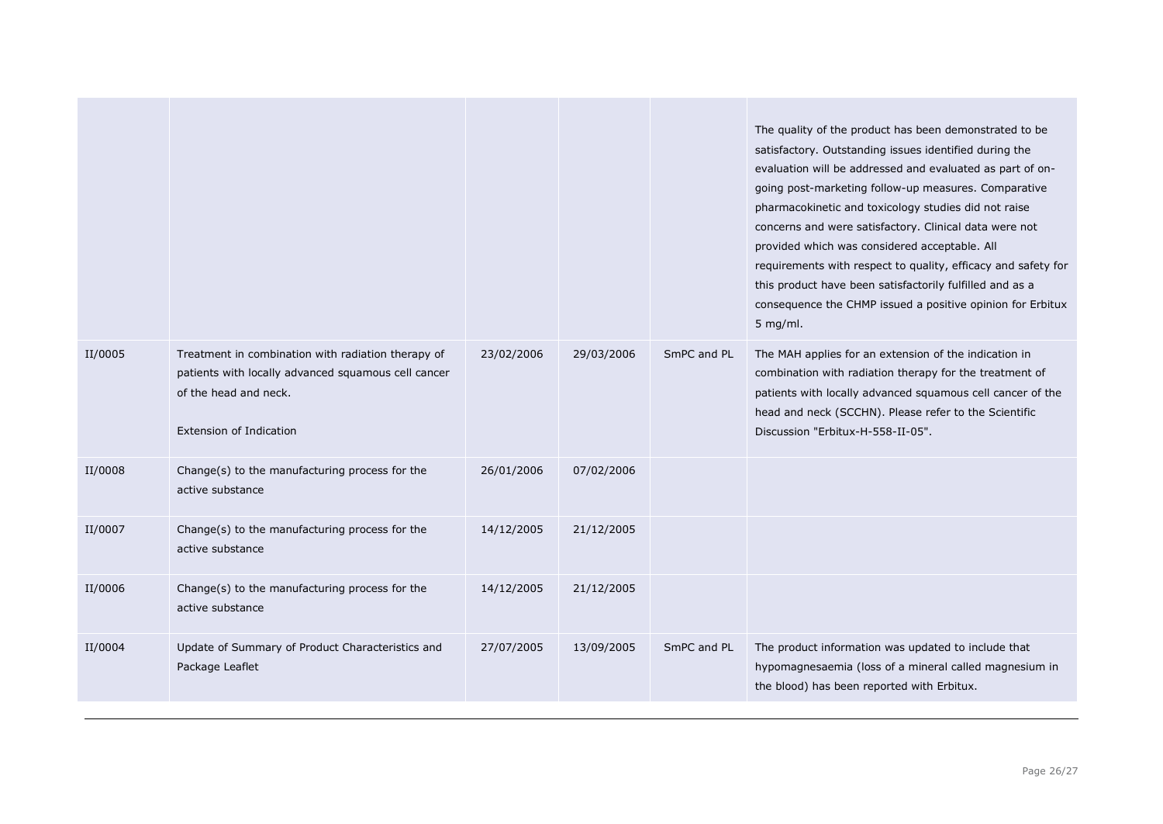|         |                                                                                                                                                                      |            |            |             | The quality of the product has been demonstrated to be<br>satisfactory. Outstanding issues identified during the<br>evaluation will be addressed and evaluated as part of on-<br>going post-marketing follow-up measures. Comparative<br>pharmacokinetic and toxicology studies did not raise<br>concerns and were satisfactory. Clinical data were not<br>provided which was considered acceptable. All<br>requirements with respect to quality, efficacy and safety for<br>this product have been satisfactorily fulfilled and as a<br>consequence the CHMP issued a positive opinion for Erbitux<br>$5$ mg/ml. |
|---------|----------------------------------------------------------------------------------------------------------------------------------------------------------------------|------------|------------|-------------|-------------------------------------------------------------------------------------------------------------------------------------------------------------------------------------------------------------------------------------------------------------------------------------------------------------------------------------------------------------------------------------------------------------------------------------------------------------------------------------------------------------------------------------------------------------------------------------------------------------------|
| II/0005 | Treatment in combination with radiation therapy of<br>patients with locally advanced squamous cell cancer<br>of the head and neck.<br><b>Extension of Indication</b> | 23/02/2006 | 29/03/2006 | SmPC and PL | The MAH applies for an extension of the indication in<br>combination with radiation therapy for the treatment of<br>patients with locally advanced squamous cell cancer of the<br>head and neck (SCCHN). Please refer to the Scientific<br>Discussion "Erbitux-H-558-II-05".                                                                                                                                                                                                                                                                                                                                      |
| II/0008 | Change(s) to the manufacturing process for the<br>active substance                                                                                                   | 26/01/2006 | 07/02/2006 |             |                                                                                                                                                                                                                                                                                                                                                                                                                                                                                                                                                                                                                   |
| II/0007 | Change(s) to the manufacturing process for the<br>active substance                                                                                                   | 14/12/2005 | 21/12/2005 |             |                                                                                                                                                                                                                                                                                                                                                                                                                                                                                                                                                                                                                   |
| II/0006 | Change(s) to the manufacturing process for the<br>active substance                                                                                                   | 14/12/2005 | 21/12/2005 |             |                                                                                                                                                                                                                                                                                                                                                                                                                                                                                                                                                                                                                   |
| II/0004 | Update of Summary of Product Characteristics and<br>Package Leaflet                                                                                                  | 27/07/2005 | 13/09/2005 | SmPC and PL | The product information was updated to include that<br>hypomagnesaemia (loss of a mineral called magnesium in<br>the blood) has been reported with Erbitux.                                                                                                                                                                                                                                                                                                                                                                                                                                                       |